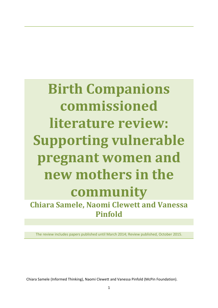**Birth Companions commissioned literature review: Supporting vulnerable pregnant women and new mothers in the community Chiara Samele, Naomi Clewett and Vanessa** 

**Pinfold**

The review includes papers published until March 2014; Review published, October 2015.

Chiara Samele (Informed Thinking), Naomi Clewett and Vanessa Pinfold (McPin Foundation).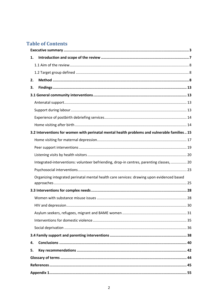## **Table of Contents**

| 1. |                                                                                               |  |  |  |  |
|----|-----------------------------------------------------------------------------------------------|--|--|--|--|
|    |                                                                                               |  |  |  |  |
|    |                                                                                               |  |  |  |  |
| 2. |                                                                                               |  |  |  |  |
| 3. |                                                                                               |  |  |  |  |
|    |                                                                                               |  |  |  |  |
|    |                                                                                               |  |  |  |  |
|    |                                                                                               |  |  |  |  |
|    |                                                                                               |  |  |  |  |
|    |                                                                                               |  |  |  |  |
|    | 3.2 Interventions for women with perinatal mental health problems and vulnerable families  15 |  |  |  |  |
|    |                                                                                               |  |  |  |  |
|    |                                                                                               |  |  |  |  |
|    |                                                                                               |  |  |  |  |
|    | Integrated-interventions: volunteer befriending, drop-in centres, parenting classes,  20      |  |  |  |  |
|    |                                                                                               |  |  |  |  |
|    | Organizing integrated perinatal mental health care services: drawing upon evidenced based     |  |  |  |  |
|    |                                                                                               |  |  |  |  |
|    |                                                                                               |  |  |  |  |
|    |                                                                                               |  |  |  |  |
|    |                                                                                               |  |  |  |  |
|    |                                                                                               |  |  |  |  |
|    |                                                                                               |  |  |  |  |
|    |                                                                                               |  |  |  |  |
|    |                                                                                               |  |  |  |  |
| 4. |                                                                                               |  |  |  |  |
| 5. |                                                                                               |  |  |  |  |
|    |                                                                                               |  |  |  |  |
|    |                                                                                               |  |  |  |  |
|    |                                                                                               |  |  |  |  |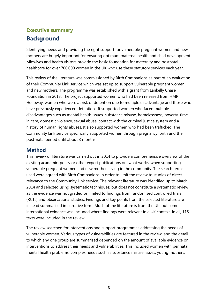# <span id="page-2-0"></span>**Executive summary**

## **Background**

Identifying needs and providing the right support for vulnerable pregnant women and new mothers are hugely important for ensuring optimum maternal health and child development. Midwives and health visitors provide the basic foundation for maternity and postnatal healthcare for over 700,000 women in the UK who use these statutory services each year.

This review of the literature was commissioned by Birth Companions as part of an evaluation of their Community Link service which was set up to support vulnerable pregnant women and new mothers. The programme was established with a grant from Lankelly Chase Foundation in 2013. The project supported women who had been released from HMP Holloway, women who were at risk of detention due to multiple disadvantage and those who have previously experienced detention. It supported women who faced multiple disadvantages such as mental health issues, substance misuse, homelessness, poverty, time in care, domestic violence, sexual abuse, contact with the criminal justice system and a history of human rights abuses. It also supported women who had been trafficked. The Community Link service specifically supported women through pregnancy, birth and the post-natal period until about 3 months.

## **Method**

This review of literature was carried out in 2014 to provide a comprehensive overview of the existing academic, policy or other expert publications on 'what works' when supporting vulnerable pregnant women and new mothers living in the community. The search terms used were agreed with Birth Companions in order to limit the review to studies of direct relevance to the Community Link service. The relevant literature was identified up to March 2014 and selected using systematic techniques; but does not constitute a systematic review as the evidence was not graded or limited to findings from randomised controlled trials (RCTs) and observational studies. Findings and key points from the selected literature are instead summarised in narrative form. Much of the literature is from the UK, but some international evidence was included where findings were relevant in a UK context. In all, 115 texts were included in the review.

The review searched for interventions and support programmes addressing the needs of vulnerable women. Various types of vulnerabilities are featured in the review, and the detail to which any one group are summarised depended on the amount of available evidence on interventions to address their needs and vulnerabilities. This included women with perinatal mental health problems, complex needs such as substance misuse issues, young mothers,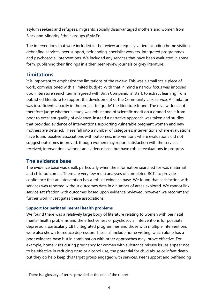asylum seekers and refugees, migrants, socially disadvantaged mothers and women from Black and Minority Ethnic groups (BAME)<sup>1</sup>.

The interventions that were included in the review are equally varied including home visiting, debriefing services, peer support, befriending, specialist workers, integrated programmes and psychosocial interventions. We included any services that have been evaluated in some form, publishing their findings in either peer review journals or grey literature.

## **Limitations**

It is important to emphasize the limitations of the review. This was a small scale piece of work, commissioned with a limited budget. With that in mind a narrow focus was imposed upon literature search terms, agreed with Birth Companions' staff, to extract learning from published literature to support the development of the Community Link service. A limitation was insufficient capacity in the project to 'grade' the literature found. The review does not therefore judge whether a study was robust and of scientific merit on a graded scale from poor to excellent quality of evidence. Instead a narrative approach was taken and studies that provided evidence of interventions supporting vulnerable pregnant women and new mothers are detailed. These fall into a number of categories: interventions where evaluations have found positive associations with outcomes; interventions where evaluations did not suggest outcomes improved, though women may report satisfaction with the services received; interventions without an evidence base but have robust evaluations in progress.

### **The evidence base**

1

The evidence base was small, particularly when the information searched for was maternal and child outcomes. There are very few meta analyses of completed RCTs to provide confidence that an intervention has a robust evidence base. We found that satisfaction with services was reported without outcomes data in a number of areas explored. We cannot link service satisfaction with outcomes based upon evidence reviewed, however, we recommend further work investigates these associations.

### **Support for perinatal mental health problems**

We found there was a relatively large body of literature relating to women with perinatal mental health problems and the effectiveness of psychosocial interventions for postnatal depression, particularly CBT. Integrated programmes and those with multiple interventions were also shown to reduce depression. These all include home visiting, which alone has a poor evidence base but in combination with other approaches may prove effective. For example, home visits during pregnancy for women with substance misuse issues appear not to be effective in reducing drug or alcohol use, the potential for child abuse or infant death but they do help keep this target group engaged with services. Peer support and befriending

<sup>&</sup>lt;sup>1</sup> There is a glossary of terms provided at the end of the report.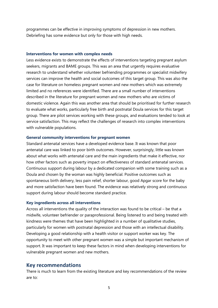programmes can be effective in improving symptoms of depression in new mothers. Debriefing has some evidence but only for those with high needs.

#### **Interventions for women with complex needs**

Less evidence exists to demonstrate the effects of interventions targeting pregnant asylum seekers, migrants and BAME groups. This was an area that urgently requires evaluative research to understand whether volunteer befriending programmes or specialist midwifery services can improve the health and social outcomes of this target group. This was also the case for literature on homeless pregnant women and new mothers which was extremely limited and no references were identified. There are a small number of interventions described in the literature for pregnant women and new mothers who are victims of domestic violence. Again this was another area that should be prioritised for further research to evaluate what works, particularly free birth and postnatal Doula services for this target group. There are pilot services working with these groups, and evaluations tended to look at service satisfaction. This may reflect the challenges of research into complex interventions with vulnerable populations.

#### **General community interventions for pregnant women**

Standard antenatal services have a developed evidence base. It was known that poor antenatal care was linked to poor birth outcomes. However, surprisingly, little was known about what works with antenatal care and the main ingredients that make it effective, nor how other factors such as poverty impact on effectiveness of standard antenatal services. Continuous support during labour by a dedicated companion with some training such as a Doula and chosen by the woman was highly beneficial. Positive outcomes such as spontaneous birth delivery, less pain relief, shorter labour, good Apgar score for the baby and more satisfaction have been found. The evidence was relatively strong and continuous support during labour should become standard practice.

#### **Key ingredients across all interventions**

Across all interventions the quality of the interaction was found to be critical – be that a midwife, volunteer befriender or paraprofessional. Being listened to and being treated with kindness were themes that have been highlighted in a number of qualitative studies, particularly for women with postnatal depression and those with an intellectual disability. Developing a good relationship with a health visitor or support worker was key. The opportunity to meet with other pregnant women was a simple but important mechanism of support. It was important to keep these factors in mind when developing interventions for vulnerable pregnant women and new mothers.

#### **Key recommendations**

There is much to learn from the existing literature and key recommendations of the review are to: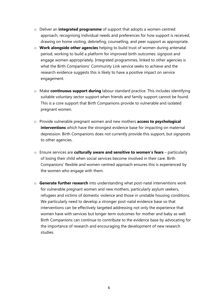- o Deliver an **integrated programme** of support that adopts a women-centred approach, recognising individual needs and preferences for how support is received, drawing on home visiting, debriefing, counselling, and peer support as appropriate.
- o **Work alongside other agencies** helping to build trust of women during antenatal period, working to build a platform for improved birth outcomes: signpost and engage women appropriately. Integrated programmes, linked to other agencies is what the Birth Companions' Community Link service seeks to achieve and the research evidence suggests this is likely to have a positive impact on service engagement.
- o Make **continuous support during** labour standard practice. This includes identifying suitable voluntary sector support when friends and family support cannot be found. This is a core support that Birth Companions provide to vulnerable and isolated pregnant women.
- o Provide vulnerable pregnant women and new mothers **access to psychological interventions** which have the strongest evidence base for impacting on maternal depression. Birth Companions does not currently provide this support, but signposts to other agencies.
- o Ensure services are **culturally aware and sensitive to women's fears** particularly of losing their child when social services become involved in their care. Birth Companions' flexible and women-centred approach ensures this is experienced by the women who engage with them.
- o **Generate further research** into understanding what post-natal interventions work for vulnerable pregnant women and new mothers, particularly asylum seekers, refugees and victims of domestic violence and those in unstable housing conditions. We particularly need to develop a stronger post-natal evidence base so that interventions can be effectively targeted addressing not only the experience that women have with services but longer term outcomes for mother and baby as well. Birth Companions can continue to contribute to the evidence base by advocating for the importance of research and encouraging the development of new research studies.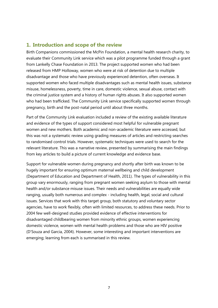## <span id="page-6-0"></span>**1. Introduction and scope of the review**

Birth Companions commissioned the McPin Foundation, a mental health research charity, to evaluate their Community Link service which was a pilot programme funded through a grant from Lankelly Chase Foundation in 2013. The project supported women who had been released from HMP Holloway, women who were at risk of detention due to multiple disadvantage and those who have previously experienced detention, often overseas. It supported women who faced multiple disadvantages such as mental health issues, substance misuse, homelessness, poverty, time in care, domestic violence, sexual abuse, contact with the criminal justice system and a history of human rights abuses. It also supported women who had been trafficked. The Community Link service specifically supported women through pregnancy, birth and the post-natal period until about three months.

Part of the Community Link evaluation included a review of the existing available literature and evidence of the types of support considered most helpful for vulnerable pregnant women and new mothers. Both academic and non-academic literature were accessed, but this was not a systematic review using grading measures of articles and restricting searches to randomised control trials. However, systematic techniques were used to search for the relevant literature. This was a narrative review, presented by summarising the main findings from key articles to build a picture of current knowledge and evidence base.

Support for vulnerable women during pregnancy and shortly after birth was known to be hugely important for ensuring optimum maternal wellbeing and child development (Department of Education and Department of Health, 2011). The types of vulnerability in this group vary enormously, ranging from pregnant women seeking asylum to those with mental health and/or substance misuse issues. Their needs and vulnerabilities are equally wide ranging, usually both numerous and complex - including health, legal, social and cultural issues. Services that work with this target group, both statutory and voluntary sector agencies, have to work flexibly, often with limited resources, to address these needs. Prior to 2004 few well-designed studies provided evidence of effective interventions for disadvantaged childbearing women from minority ethnic groups, women experiencing domestic violence, women with mental health problems and those who are HIV positive (D'Souza and Garcia, 2004). However, some interesting and important interventions are emerging; learning from each is summarised in this review.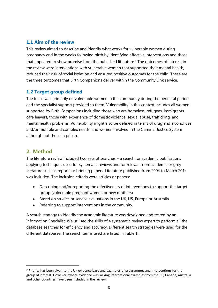### <span id="page-7-0"></span>**1.1 Aim of the review**

This review aimed to describe and identify what works for vulnerable women during pregnancy and in the weeks following birth by identifying effective interventions and those that appeared to show promise from the published literature. <sup>2</sup> The outcomes of interest in the review were interventions with vulnerable women that supported their mental health, reduced their risk of social isolation and ensured positive outcomes for the child. These are the three outcomes that Birth Companions deliver within the Community Link service.

### <span id="page-7-1"></span>**1.2 Target group defined**

The focus was primarily on vulnerable women in the community during the perinatal period and the specialist support provided to them. Vulnerability in this context includes all women supported by Birth Companions including those who are homeless, refugees, immigrants, care leavers, those with experience of domestic violence, sexual abuse, trafficking, and mental health problems. Vulnerability might also be defined in terms of drug and alcohol use and/or multiple and complex needs; and women involved in the Criminal Justice System although not those in prison.

### <span id="page-7-2"></span>**2. Method**

1

The literature review included two sets of searches – a search for academic publications applying techniques used for systematic reviews and for relevant non-academic or grey literature such as reports or briefing papers. Literature published from 2004 to March 2014 was included. The inclusion criteria were articles or papers:

- Describing and/or reporting the effectiveness of interventions to support the target group (vulnerable pregnant women or new mothers)
- Based on studies or service evaluations in the UK, US, Europe or Australia
- Referring to support interventions in the community.

A search strategy to identify the academic literature was developed and tested by an Information Specialist. We utilised the skills of a systematic review expert to perform all the database searches for efficiency and accuracy. Different search strategies were used for the different databases. The search terms used are listed in Table 1.

<sup>2</sup> Priority has been given to the UK evidence base and examples of programmes and interventions for the group of interest. However, where evidence was lacking international examples from the US, Canada, Australia and other countries have been included in the review.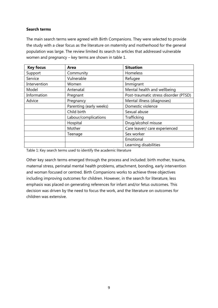#### **Search terms**

The main search terms were agreed with Birth Companions. They were selected to provide the study with a clear focus as the literature on maternity and motherhood for the general population was large. The review limited its search to articles that addressed vulnerable women and pregnancy – key terms are shown in table 1.

| <b>Key focus</b> | Area                    | <b>Situation</b>                      |
|------------------|-------------------------|---------------------------------------|
| Support          | Community               | Homeless                              |
| Service          | Vulnerable              | Refugee                               |
| Intervention     | Women                   | Immigrant                             |
| Model            | Antenatal               | Mental health and wellbeing           |
| Information      | Pregnant                | Post-traumatic stress disorder (PTSD) |
| Advice           | Pregnancy               | Mental illness (diagnoses)            |
|                  | Parenting (early weeks) | Domestic violence                     |
|                  | Child birth             | Sexual abuse                          |
|                  | Labour/complications    | Trafficking                           |
|                  | Hospital                | Drug/alcohol misuse                   |
|                  | Mother                  | Care leaver/ care experienced         |
|                  | Teenage                 | Sex worker                            |
|                  |                         | Emotional                             |
|                  |                         | Learning disabilities                 |

Table 1: Key search terms used to identify the academic literature

Other key search terms emerged through the process and included: birth mother, trauma, maternal stress, perinatal mental health problems, attachment, bonding, early intervention and woman focused or centred. Birth Companions works to achieve three objectives including improving outcomes for children. However, in the search for literature, less emphasis was placed on generating references for infant and/or fetus outcomes. This decision was driven by the need to focus the work, and the literature on outcomes for children was extensive.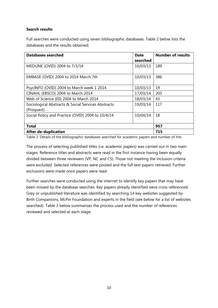#### **Search results**

Full searches were conducted using seven bibliographic databases. Table 2 below lists the databases and the results obtained.

| <b>Databases searched</b>                          | <b>Date</b> | <b>Number of results</b> |
|----------------------------------------------------|-------------|--------------------------|
|                                                    | searched    |                          |
| MEDLINE (OVID) 2004 to 7/3/14                      | 10/03/13    | 189                      |
|                                                    |             |                          |
| EMBASE (OVID) 2004 to 2014 March 7th               | 10/03/13    | 386                      |
|                                                    |             |                          |
| PsycINFO (OVID) 2004 to March week 1 2014          | 10/03/13    | 19                       |
| CINAHL (EBSCO) 2004 to March 2014                  | 17/03/14    | 203                      |
| Web of Science (ISI) 2004 to March 2014            | 18/03/14    | 43                       |
| Sociological Abstracts & Social Services Abstracts | 19/03/14    | 117                      |
| (Proquest)                                         |             |                          |
| Social Policy and Practice (OVID) 2004 to 10/4/14  | 10/04/14    | 18                       |
|                                                    |             |                          |
| <b>Total</b>                                       | 957         |                          |
| <b>After de-duplication</b>                        | 715         |                          |

Table 2: Details of the bibliographic databases searched for academic papers and number of hits

The process of selecting published titles (i.e. academic papers) was carried out in two main stages. Reference titles and abstracts were read in the first instance having been equally divided between three reviewers (VP, NC and CS). Those not meeting the inclusion criteria were excluded. Selected references were pooled and the full text papers retrieved. Further exclusions were made once papers were read.

Further searches were conducted using the internet to identify key papers that may have been missed by the database searches. Key papers already identified were cross referenced. Grey or unpublished literature was identified by searching 14 key websites suggested by Birth Companions, McPin Foundation and experts in the field (see below for a list of websites searched). Table 3 below summarises the process used and the number of references reviewed and selected at each stage.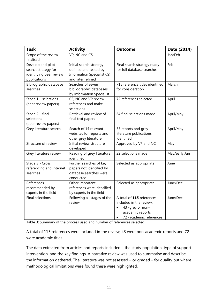| <b>Task</b>                                                                         | <b>Activity</b>                                                                                             | <b>Outcome</b>                                                                                                                       | Date (2014)   |
|-------------------------------------------------------------------------------------|-------------------------------------------------------------------------------------------------------------|--------------------------------------------------------------------------------------------------------------------------------------|---------------|
| Scope of the review<br>finalised                                                    | VP, NC and CS                                                                                               |                                                                                                                                      | Jan/Feb       |
| Develop and pilot<br>search strategy for<br>identifying peer review<br>publications | Initial search strategy<br>defined and tested by<br><b>Information Specialist (IS)</b><br>and later refined | Final search strategy ready<br>for full database searches                                                                            | Feb           |
| Bibliographic database<br>searches                                                  | Searches of seven<br>bibliographic databases<br>by Information Specialist                                   | 715 reference titles identified<br>for consideration                                                                                 | March         |
| Stage $1$ – selections<br>(peer review papers)                                      | CS, NC and VP review<br>references and make<br>selections                                                   | 72 references selected                                                                                                               | April         |
| Stage 2 - final<br>selections<br>(peer review papers)                               | Retrieval and review of<br>final text papers                                                                | 64 final selections made                                                                                                             | April/May     |
| Grey literature search                                                              | Search of 14 relevant<br>websites for reports and<br>other grey literature                                  | 35 reports and grey<br>literature publications<br>identified                                                                         | April/May     |
| Structure of review                                                                 | Initial review structure<br>developed                                                                       | Approved by VP and NC                                                                                                                | May           |
| Grey literature review                                                              | Reading of grey literature<br>identified                                                                    | 22 selections made                                                                                                                   | May/early Jun |
| Stage 3 - Cross<br>referencing and internet<br>searches                             | Further searches of key<br>papers not identified by<br>database searches were<br>conducted                  | Selected as appropriate                                                                                                              | June          |
| References<br>recommended by<br>experts in the field                                | Other important<br>references were identified<br>by experts in the field                                    | Selected as appropriate                                                                                                              | June/Dec      |
| <b>Final selections</b>                                                             | Following all stages of the<br>review                                                                       | A total of 115 references<br>included in the review:<br>43 -grey or non-<br>$\bullet$<br>academic reports<br>72 -academic references | June/Dec      |

Table 3: Summary of the process used and number of references selected

A total of 115 references were included in the review; 43 were non-academic reports and 72 were academic titles.

The data extracted from articles and reports included – the study population, type of support intervention, and the key findings. A narrative review was used to summarise and describe the information gathered. The literature was not assessed – or graded – for quality but where methodological limitations were found these were highlighted.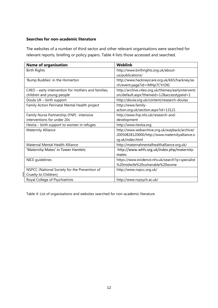#### **Searches for non-academic literature**

The websites of a number of third sector and other relevant organisations were searched for relevant reports, briefing or policy papers. Table 4 lists those accessed and searched.

| <b>Name of organisation</b>                         | <b>Weblink</b>                                    |
|-----------------------------------------------------|---------------------------------------------------|
| <b>Birth Rights</b>                                 | http://www.birthrights.org.uk/about-              |
|                                                     | us/publications/                                  |
| 'Bump Buddies' in the Homerton                      | http://www.hackneyicare.org.uk/kb5/hackney/as     |
|                                                     | ch/event.page?id=rMNp7CYrOKI                      |
| C4EO - early intervention for mothers and families, | http://archive.c4eo.org.uk/themes/earlyinterventi |
| children and young people                           | on/default.aspx?themeid=12&accesstypeid=1         |
| Doula UK - birth support                            | http://doula.org.uk/content/research-doulas       |
| Family Action Perinatal Mental Health project       | http://www.family-                                |
|                                                     | action.org.uk/section.aspx?id=13121               |
| Family Nurse Partnership (FNP) -intensive           | http://www.fnp.nhs.uk/research-and-               |
| interventions for under 20s                         | development                                       |
| Hestia - birth support to women in refuges          | http://www.hestia.org                             |
| <b>Maternity Alliance</b>                           | http://www.webarchive.org.uk/wayback/archive/     |
|                                                     | 20050828120000/http://www.maternityalliance.o     |
|                                                     | rg.uk/index.html                                  |
| Maternal Mental Health Alliance                     | http://maternalmentalhealthalliance.org.uk/       |
| 'Maternity Mates' in Tower Hamlets                  | http://www.whfs.org.uk/index.php/maternity-       |
|                                                     | mates                                             |
| NICE guidelines                                     | https://www.evidence.nhs.uk/search?q=specialist   |
|                                                     | %20midwife%20vulnerable%20wome                    |
| NSPCC (National Society for the Prevention of       | http://www.nspcc.org.uk/                          |
| Cruelty to Children)                                |                                                   |
| Royal College of Psychiatrists                      | http://www.rcpsych.ac.uk/                         |

Table 4: List of organisations and websites searched for non-academic literature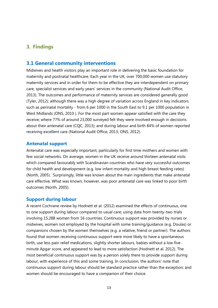### <span id="page-12-1"></span><span id="page-12-0"></span>**3. Findings**

### **3.1 General community interventions**

Midwives and health visitors play an important role in delivering the basic foundation for maternity and postnatal healthcare. Each year in the UK, over 700,000 women use statutory maternity services and in order for them to be effective they are interdependent on primary care, specialist services and early years' services in the community (National Audit Office, 2013). The outcomes and performance of maternity services are considered generally good (Tyler, 2012); although there was a high degree of variation across England in key indicators such as perinatal mortality - from 6 per 1000 in the South East to 9.1 per 1000 population in West Midlands (ONS, 2010 ). For the most part women appear satisfied with the care they receive; where 77% of around 23,000 surveyed felt they were involved enough in decisions about their antenatal care (CQC, 2013); and during labour and birth 84% of women reported receiving excellent care (National Audit Office, 2013; ONS, 2012).

#### <span id="page-12-2"></span>**Antenatal support**

Antenatal care was especially important, particularly for first time mothers and women with few social networks. On average, women in the UK receive around thirteen antenatal visits which compared favourably with Scandinavian countries who have very successful outcomes for child health and development (e.g. low infant mortality and high breast feeding rates) (North, 2005). Surprisingly, little was known about the main ingredients that make antenatal care effective. What was known, however, was poor antenatal care was linked to poor birth outcomes (North, 2005).

#### <span id="page-12-3"></span>**Support during labour**

A recent Cochrane review by Hodnett et al. (2012) examined the effects of continuous, one to one support during labour compared to usual care; using data from twenty-two trials involving 15,288 women from 16 countries. Continuous support was provided by nurses or midwives, women not employed by the hospital with some training/guidance (e.g. Doulas) or companions chosen by the women themselves (e.g. a relative, friend or partner). The authors found that women receiving continuous support were more likely to have a spontaneous birth, use less pain relief medications, slightly shorter labours, babies without a low fiveminute Apgar score, and appeared to lead to more satisfaction (Hodnett et al. 2012). The most beneficial continuous support was by a person solely there to provide support during labour, with experience of this and some training. In conclusion, the authors' note that continuous support during labour should be standard practice rather than the exception; and women should be encouraged to have a companion of their choice.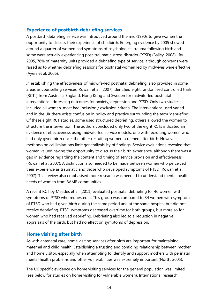### <span id="page-13-0"></span>**Experience of postbirth debriefing services**

A postbirth debriefing service was introduced around the mid-1990s to give women the opportunity to discuss their experience of childbirth. Emerging evidence by 2005 showed around a quarter of women had symptoms of psychological trauma following birth and some were actually experiencing post-traumatic stress disorder (PTSD) (Bailey, 2008). By 2005, 78% of maternity units provided a debriefing type of service, although concerns were raised as to whether debriefing sessions for postnatal women led by midwives were effective (Ayers et al. 2006).

In establishing the effectiveness of midwife-led postnatal debriefing, also provided in some areas as counselling services, Rowan et al. (2007) identified eight randomised controlled trials (RCTs) from Australia, England, Hong Kong and Sweden for midwife-led postnatal interventions addressing outcomes for anxiety, depression and PTSD. Only two studies included all women, most had inclusion / exclusion criteria. The interventions used varied and in the UK there exists confusion in policy and practice surrounding the term 'debriefing'. Of these eight RCT studies, some used structured debriefing, others allowed the women to structure the intervention. The authors concluded only two of the eight RCTs indicated an evidence of effectiveness using midwife-led service models, one with recruiting women who had only given birth once, the other recruiting women screened after birth. However, methodological limitations limit generalizability of findings. Service evaluations revealed that women valued having the opportunity to discuss their birth experience, although there was a gap in evidence regarding the content and timing of service provision and effectiveness (Rowan et al. 2007). A distinction also needed to be made between women who perceived their experience as traumatic and those who developed symptoms of PTSD (Rowan et al. 2007). This review also emphasised more research was needed to understand mental health needs of women from BAME communities.

A recent RCT by Meades et al. (2011) evaluated postnatal debriefing for 46 women with symptoms of PTSD who requested it. This group was compared to 34 women with symptoms of PTSD who had given birth during the same period and at the same hospital but did not receive debriefing. PTSD symptoms decreased overtime for both groups, but more so for women who had received debriefing. Debriefing also led to a reduction in negative appraisals of the birth, but had no effect on symptoms of depression.

### <span id="page-13-1"></span>**Home visiting after birth**

As with antenatal care, home visiting services after birth are important for maintaining maternal and child health. Establishing a trusting and confiding relationship between mother and home visitor, especially when attempting to identify and support mothers with perinatal mental health problems and other vulnerabilities was extremely important (North, 2005).

The UK specific evidence on home visiting services for the general population was limited (see below for studies on home visiting for vulnerable women). International research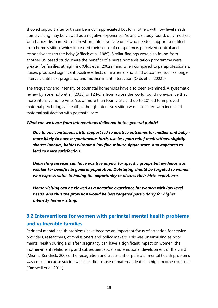showed support after birth can be much appreciated but for mothers with low level needs home visiting may be viewed as a negative experience. As one US study found, only mothers with babies discharged from newborn intensive care units who needed support benefited from home visiting, which increased their sense of competence, perceived control and responsiveness to the baby (Affleck et al. 1989). Similar findings were also found from another US based study where the benefits of a nurse home visitation programme were greater for families at high risk (Olds et al. 2002a); and when compared to paraprofessionals, nurses produced significant positive effects on maternal and child outcomes, such as longer intervals until next pregnancy and mother-infant interaction (Olds et al. 2002b).

The frequency and intensity of postnatal home visits have also been examined. A systematic review by Yonemoto et al. (2013) of 12 RCTs from across the world found no evidence that more intensive home visits (i.e. of more than four visits and up to 10) led to improved maternal psychological health, although intensive visiting was associated with increased maternal satisfaction with postnatal care.

#### *What can we learn from interventions delivered to the general public?*

*One to one continuous birth support led to positive outcomes for mother and baby more likely to have a spontaneous birth, use less pain relief medications, slightly shorter labours, babies without a low five-minute Apgar score, and appeared to lead to more satisfaction.* 

*Debriefing services can have positive impact for specific groups but evidence was weaker for benefits in general population. Debriefing should be targeted to women who express value in having the opportunity to discuss their birth experience.*

*Home visiting can be viewed as a negative experience for women with low level needs, and thus the provision would be best targeted particularly for higher intensity home visiting.* 

## <span id="page-14-0"></span>**3.2 Interventions for women with perinatal mental health problems and vulnerable families**

Perinatal mental health problems have become an important focus of attention for service providers, researchers, commissioners and policy makers. This was unsurprising as poor mental health during and after pregnancy can have a significant impact on women, the mother-infant relationship and subsequent social and emotional development of the child (Misri & Kendrick, 2008). The recognition and treatment of perinatal mental health problems was critical because suicide was a leading cause of maternal deaths in high income countries (Cantwell et al. 2011).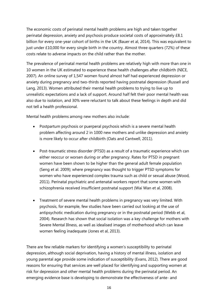The economic costs of perinatal mental health problems are high and taken together perinatal depression, anxiety and psychosis produce societal costs of approximately £8.1 billion for every one-year cohort of births in the UK (Bauer et al, 2014). This was equivalent to just under £10,000 for every single birth in the country. Almost three quarters (72%) of these costs relate to adverse impacts on the child rather than the mother.

The prevalence of perinatal mental health problems are relatively high with more than one in 10 women in the UK estimated to experience these health challenges after childbirth (NICE, 2007). An online survey of 1,547 women found almost half had experienced depression or anxiety during pregnancy and two-thirds reported having postnatal depression (Russell and Lang, 2013). Women attributed their mental health problems to trying to live up to unrealistic expectations and a lack of support. Around half felt their poor mental health was also due to isolation, and 30% were reluctant to talk about these feelings in depth and did not tell a health professional.

Mental health problems among new mothers also include:

- Postpartum psychosis or puerperal psychosis which is a severe mental health problem affecting around 2 in 1000 new mothers and unlike depression and anxiety is more likely to occur after childbirth (Oats and Cantwell, 2011).
- Post-traumatic stress disorder (PTSD) as a result of a traumatic experience which can either reoccur or worsen during or after pregnancy. Rates for PTSD in pregnant women have been shown to be higher than the general adult female population (Seng et al. 2009); where pregnancy was thought to trigger PTSD symptoms for women who have experienced complex trauma such as child or sexual abuse (Wood, 2011). Perinatal psychiatric and antenatal workers report that some women with schizophrenia received insufficient postnatal support (Wai Wan et al, 2008).
- Treatment of severe mental health problems in pregnancy was very limited. With psychosis, for example, few studies have been carried out looking at the use of antipsychotic medication during pregnancy or in the postnatal period (Webb et al, 2004). Research has shown that social isolation was a key challenge for mothers with Severe Mental Illness, as well as idealised images of motherhood which can leave women feeling inadequate (Jones et al, 2013).

There are few reliable markers for identifying a women's susceptibility to perinatal depression, although social deprivation, having a history of mental illness, isolation and young parental age provide some indication of susceptibility (Evans, 2012). There are good reasons for ensuring that services are well placed for identifying and supporting women at risk for depression and other mental health problems during the perinatal period. An emerging evidence base is developing to demonstrate the effectiveness of ante- and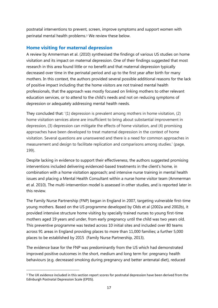postnatal interventions to prevent, screen, improve symptoms and support women with perinatal mental health problems.<sup>3</sup> We review these below.

### <span id="page-16-0"></span>**Home visiting for maternal depression**

A review by Ammerman et al. (2010) synthesised the findings of various US studies on home visitation and its impact on maternal depression. One of their findings suggested that most research in this area found little or no benefit and that maternal depression typically decreased over time in the perinatal period and up to the first year after birth for many mothers. In this context, the authors provided several possible additional reasons for the lack of positive impact including that the home visitors are not trained mental health professionals, that the approach was mostly focused on linking mothers to other relevant education services, or to attend to the child's needs and not on reducing symptoms of depression or adequately addressing mental health needs.

They concluded that: '(1) depression is prevalent among mothers in home visitation, (2) home visitation services alone are insufficient to bring about substantial improvement in depression, (3) depression can mitigate the effects of home visitation, and (4) promising approaches have been developed to treat maternal depression in the context of home visitation. Several questions are unanswered and there is a need for common approaches in measurement and design to facilitate replication and comparisons among studies.' (page, 199).

Despite lacking in evidence to support their effectiveness, the authors suggested promising interventions included delivering evidenced-based treatments in the client's home, in combination with a home visitation approach; and intensive nurse training in mental health issues and placing a Mental Health Consultant within a nurse home visitor team (Ammerman et al. 2010). The multi-intervention model is assessed in other studies, and is reported later in this review.

The Family Nurse Partnership (FNP) began in England in 2007, targeting vulnerable first-time young mothers. Based on the US programme developed by Olds et al (2002a and 2002b), it provided intensive structure home visiting by specially trained nurses to young first-time mothers aged 19 years and under, from early pregnancy until the child was two years old. This preventive programme was tested across 10 initial sites and included over 80 teams across 91 areas in England providing places to more than 11,000 families; a further 5,000 places to be established by 2015 (Family Nurse Partnership, 2013).

The evidence base for the FNP was predominantly from the US which had demonstrated improved positive outcomes in the short, medium and long term for: pregnancy health behaviours (e.g. decreased smoking during pregnancy and better antenatal diet), reduced

**.** 

<sup>3</sup> The UK evidence included in this section report scores for postnatal depression have been derived from the Edinburgh Postnatal Depression Scale (EPDS).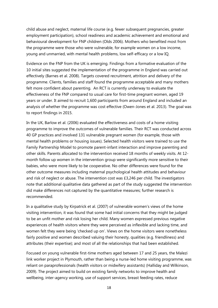child abuse and neglect, maternal life course (e.g. fewer subsequent pregnancies, greater employment participation), school readiness and academic achievement and emotional and behavioural development for FNP children (Olds 2006). Mothers who benefited most from the programme were those who were vulnerable, for example women on a low income, young and unmarried, with mental health problems, low self-efficacy or a low IQ.

Evidence on the FNP from the UK is emerging. Findings from a formative evaluation of the 10 initial sites suggested the implementation of the programme in England was carried out effectively (Barnes et al. 2008). Targets covered recruitment, attrition and delivery of the programme. Clients, families and staff found the programme acceptable and many mothers felt more confident about parenting. An RCT is currently underway to evaluate the effectiveness of the FNP compared to usual care for first-time pregnant women, aged 19 years or under. It aimed to recruit 1,600 participants from around England and included an analysis of whether the programme was cost effective (Owen-Jones et al. 2013). The goal was to report findings in 2015.

In the UK, Barlow et al. (2006) evaluated the effectiveness and costs of a home visiting programme to improve the outcomes of vulnerable families. Their RCT was conducted across 40 GP practices and involved 131 vulnerable pregnant women (for example, those with mental health problems or housing issues). Selected health visitors were trained to use the Family Partnership Model to promote parent-infant interaction and improve parenting and other skills. Parents allocated to the intervention received 18 months of weekly visits. At 12 month follow up women in the intervention group were significantly more sensitive to their babies, who were more likely to be cooperative. No other differences were found for the other outcome measures including maternal psychological health attitudes and behaviour and risk of neglect or abuse. The intervention cost was £3,246 per child. The investigators note that additional qualitative data gathered as part of the study suggested the intervention did make differences not captured by the quantitative measures; further research is recommended.

In a qualitative study by Kirpatrick et al. (2007) of vulnerable women's views of the home visiting intervention, it was found that some had initial concerns that they might be judged to be an unfit mother and risk losing her child. Many women expressed previous negative experiences of health visitors where they were perceived as inflexible and lacking time, and women felt they were being 'checked up on'. Views on the home visitors were nonetheless fairly positive and women described valuing their honesty, qualities (e.g. friendliness) and attributes (their expertise); and most of all the relationships that had been established.

Focused on young vulnerable first-time mothers aged between 17 and 25 years, the Malezi link worker project in Plymouth, rather than being a nurse-led home visiting programme, was reliant on paraprofessionals (health visitors or midwifery assistants) (Halliday and Wilkinson, 2009). The project aimed to build on existing family networks to improve health and wellbeing, inter-agency working, use of support services, breast feeding rates, reduce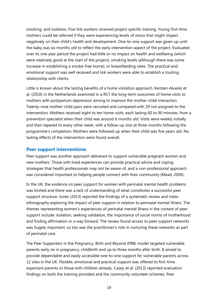smoking, and isolation. Five link workers received project specific training. Young first-time mothers could be referred if they were experiencing levels of stress that might impact negatively on their child's health and development. One-to-one support was given up until the baby was six months old to reflect the early intervention aspect of the project. Evaluated over its one year period the project had little or no impact on health and wellbeing (which were relatively good at the start of the project), smoking levels (although there was some increase in establishing a smoke-free home), or breastfeeding rates. The practical and emotional support was well received and link workers were able to establish a trusting relationship with clients.

Little is known about the lasting benefits of a home visitation approach. Kersten-Alvarez et al. (2010) in the Netherlands examined in a RCT the long-term outcomes of home visits to mothers with postpartum depression aiming to improve the mother-child interaction. Twenty-nine mother-child pairs were recruited and compared with 29 not assigned to the intervention. Mothers received eight to ten home visits, each lasting 60 to 90 minutes, from a prevention specialist when their child was around 6 months old. Visits were weekly initially and then tapered to every other week, with a follow-up visit at three months following the programme's completion. Mothers were followed up when their child was five years old. No lasting effects of the intervention were found overall.

#### <span id="page-18-0"></span>**Peer support interventions**

Peer support was another approach delivered to support vulnerable pregnant women and new mothers. Those with lived experiences can provide practical advice and coping strategies that health professionals may not be aware of, and a non-professional approach was considered important to helping people connect with their community (Mead, 2004).

In the UK, the evidence on peer support for women with perinatal mental health problems was limited and there was a lack of understanding of what constitutes a successful peer support structure. Jones (2013) reported the findings of a systematic review and metaethnography exploring the impact of peer support in relation to perinatal mental illness. The themes representing women's experiences of perinatal mental illness in the context of peer support include: isolation, seeking validation, the importance of social norms of motherhood and finding affirmation or a way forward. The review found access to peer support networks was hugely important, so too was the practitioner's role in nurturing these networks as part of perinatal care.

The Peer Supporters in the Pregnancy, Birth and Beyond (PBB) model targeted vulnerable parents early on in pregnancy, childbirth and up to three months after birth. It aimed to provide dependable and easily accessible one-to-one support for vulnerable parents across 12 sites in the UK. Flexible, emotional and practical support was offered to first-time expectant parents or those with children already. Casey et al. (2013) reported evaluation findings on both the training provided and the community volunteer schemes. Peer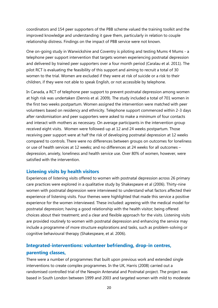coordinators and 154 peer supporters of the PBB scheme valued the training toolkit and the improved knowledge and understanding it gave them, particularly in relation to couple relationship distress. Findings on the impact of PBB service were not known.

One on-going study in Warwickshire and Coventry is piloting and testing Mums 4 Mums - a telephone peer support intervention that targets women experiencing postnatal depression and delivered by trained peer supporters over a four month period (Caralau et al. 2011). The pilot RCT is evaluating the feasibility of this support and aiming to recruit a total of 30 women to the trial. Women are excluded if they were at risk of suicide or a risk to their children, if they were not able to speak English, or not accessible by telephone.

In Canada, a RCT of telephone peer support to prevent postnatal depression among women at high risk was undertaken (Dennis et al. 2009). The study included a total of 701 women in the first two weeks postpartum. Women assigned the intervention were matched with peer volunteers based on residency and ethnicity. Telephone support commenced within 2-3 days after randomisation and peer supporters were asked to make a minimum of four contacts and interact with mothers as necessary. On average participants in the intervention group received eight visits. Women were followed-up at 12 and 24 weeks postpartum. Those receiving peer support were at half the risk of developing postnatal depression at 12 weeks compared to controls. There were no differences between groups on outcomes for loneliness or use of health services at 12 weeks; and no differences at 24 weeks for all outcomes – depression, anxiety, loneliness and health service use. Over 80% of women, however, were satisfied with the intervention.

### <span id="page-19-0"></span>**Listening visits by health visitors**

Experiences of listening visits offered to women with postnatal depression across 26 primary care practices were explored in a qualitative study by Shakespeare et al (2006). Thirty-nine women with postnatal depression were interviewed to understand what factors affected their experience of listening visits. Four themes were highlighted that made this service a positive experience for the women interviewed. These included: agreeing with the medical model for postnatal depression; having a good relationship with the health visitor; being offered choices about their treatment; and a clear and flexible approach for the visits. Listening visits are provided routinely to women with postnatal depression and enhancing the service may include a programme of more structure explorations and tasks, such as problem-solving or cognitive behavioural therapy (Shakespeare, et al. 2006).

## <span id="page-19-1"></span>**Integrated-interventions: volunteer befriending, drop-in centres, parenting classes,**

There were a number of programmes that built upon previous work and extended single interventions to create complex programmes. In the UK, Harris (2008) carried out a randomised controlled trial of the Newpin Antenatal and Postnatal project. The project was based in South London between 1999 and 2003 and targeted women with mild to moderate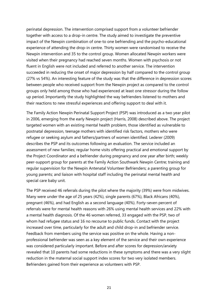perinatal depression. The intervention comprised support from a volunteer befriender together with access to a drop-in centre. The study aimed to investigate the preventive impact of the Newpin combination of one-to one befriending and the psycho-educational experience of attending the drop-in centre. Thirty women were randomised to receive the Newpin intervention and 35 to the control group. Women allocated Newpin workers were visited when their pregnancy had reached seven months. Women with psychosis or not fluent in English were not included and referred to another service. The intervention succeeded in reducing the onset of major depression by half compared to the control group (27% vs 54%). An interesting feature of the study was that the difference in depression scores between people who received support from the Newpin project as compared to the control groups only held among those who had experienced at least one stressor during the follow up period. Importantly the study highlighted the way befrienders listened to mothers and their reactions to new stressful experiences and offering support to deal with it.

The Family Action Newpin Perinatal Support Project (PSP) was introduced as a two year pilot in 2006, emerging from the early Newpin project (Harris, 2008) described above. The project targeted women with an existing mental health problem, those identified as vulnerable to postnatal depression, teenage mothers with identified risk factors, mothers who were refugee or seeking asylum and fathers/partners of women identified. Lederer (2009) describes the PSP and its outcomes following an evaluation. The service included an assessment of new families; regular home visits offering practical and emotional support by the Project Coordinator and a befriender during pregnancy and one year after birth; weekly peer-support group for parents at the Family Action Southwark Newpin Centre; training and regular supervision for the Newpin Antenatal Volunteer Befrienders; a parenting group for young parents; and liaison with hospital staff including the perinatal mental health and special care baby unit.

The PSP received 46 referrals during the pilot where the majority (39%) were from midwives. Many were under the age of 25 years (42%), single parents (67%), Black Africans (40%), pregnant (46%), and had English as a second language (40%). Forty-seven percent of referrals were for mental health reasons with 26% using mental health services and 22% with a mental health diagnosis. Of the 46 women referred, 33 engaged with the PSP, two of whom had refugee status and 16 no recourse to public funds. Contact with the project increased over time, particularly for the adult and child drop-in and befriender service. Feedback from members using the service was positive on the whole. Having a nonprofessional befriender was seen as a key element of the service and their own experience was considered particularly important. Before and after scores for depression/anxiety revealed that 10 parents had some reductions in these symptoms and there was a very slight reduction in the maternal social support index scores for two very isolated members. Befrienders gained from their experience as volunteers with PSP.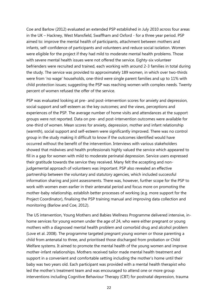Coe and Barlow (2012) evaluated an extended PSP established in July 2010 across four areas in the UK – Hackney, West Mansfield, Swaffham and Oxford - for a three year period. PSP aimed to: improve the mental health of participants, attachment between mothers and infants, self-confidence of participants and volunteers and reduce social isolation. Women were eligible for the project if they had mild to moderate mental health problems. Those with severe mental health issues were not offered the service. Eighty-six volunteer befrienders were recruited and trained, each working with around 2-3 families in total during the study. The service was provided to approximately 189 women, in which over two-thirds were from 'no wage' households, one-third were single parent families and up to 11% with child protection issues; suggesting the PSP was reaching women with complex needs. Twenty percent of women refused the offer of the service.

PSP was evaluated looking at pre- and post-intervention scores for anxiety and depression, social support and self-esteem as the key outcomes; and the views, perceptions and experiences of the PSP. The average number of home visits and attendances at the support groups were not reported. Data on pre- and post-intervention outcomes were available for one-third of women. Mean scores for anxiety, depression, mother and infant relationship (warmth), social support and self-esteem were significantly improved. There was no control group in the study making it difficult to know if the outcomes identified would have occurred without the benefit of the intervention. Interviews with various stakeholders showed that midwives and health professionals highly valued the service which appeared to fill in a gap for women with mild to moderate perinatal depression. Service users expressed their gratitude towards the service they received. Many felt the accepting and nonjudgemental approach of volunteers was important. PSP also revealed an effective partnership between the voluntary and statutory agencies, which included successful information sharing and joint assessments. There was, however, further scope for the PSP to work with women even earlier in their antenatal period and focus more on promoting the mother-baby relationship, establish better processes of working (e.g. more support for the Project Coordinator), finalising the PSP training manual and improving data collection and monitoring (Barlow and Coe, 2012).

The US intervention, Young Mothers and Babies Wellness Programme delivered intensive, inhome services for young women under the age of 24, who were either pregnant or young mothers with a diagnosed mental health problem and comorbid drug and alcohol problem (Love et al. 2008). The programme targeted pregnant young women or those parenting a child from antenatal to three, and prioritised those discharged from probation or Child Welfare systems. It aimed to promote the mental health of the young women and improve mother-infant relationships. Mothers received tailor made mental health treatment and support in a convenient and comfortable setting including the mother's home until their baby was two years old. Each participant was provided with a mental health therapist who led the mother's treatment team and was encouraged to attend one or more group interventions including Cognitive Behaviour Therapy (CBT) for postnatal depression, trauma

22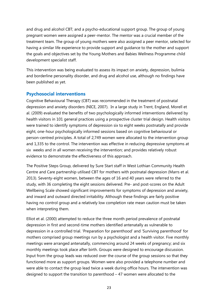and drug and alcohol CBT; and a psycho-educational support group. The group of young pregnant women were assigned a peer-mentor. The mentor was a crucial member of the treatment team. The group of young mothers were also assigned a peer mentor, selected for having a similar life experience to provide support and guidance to the mother and support the goals and objectives set by the Young Mothers and Babies Wellness Programme child development specialist staff.

This intervention was being evaluated to assess its impact on anxiety, depression, bulimia and borderline personality disorder, and drug and alcohol use, although no findings have been published as yet.

### <span id="page-22-0"></span>**Psychosocial interventions**

Cognitive Behavioural Therapy (CBT) was recommended in the treatment of postnatal depression and anxiety disorders (NICE, 2007). In a large study in Trent, England, Morell et al. (2009) evaluated the benefits of two psychologically informed interventions delivered by health visitors in 101 general practices using a prospective cluster trial design. Health visitors were trained to identify symptoms of depression six to eight weeks postnatally and provide eight, one-hour psychologically informed sessions based on cognitive behavioural or person-centred principles. A total of 2,749 women were allocated to the intervention group and 1,335 to the control. The intervention was effective in reducing depressive symptoms at six weeks and in all women receiving the intervention; and provides relatively robust evidence to demonstrate the effectiveness of this approach.

The Positive Steps Group, delivered by Sure Start staff in West Lothian Community Health Centre and Care partnership utilised CBT for mothers with postnatal depression (Marrs et al. 2013). Seventy-eight women, between the ages of 16 and 40 years were referred to the study, with 36 completing the eight sessions delivered. Pre- and post-scores on the Adult Wellbeing Scale showed significant improvements for symptoms of depression and anxiety, and inward and outward directed irritability. Although these findings are fairly positive having no control group and a relatively low completion rate mean caution must be taken when interpreting them.

Elliot et al. (2000) attempted to reduce the three month period prevalence of postnatal depression in first and second-time mothers identified antenatally as vulnerable to depression in a controlled trial. 'Preparation for parenthood' and 'Surviving parenthood' for mothers comprised group meetings run by a psychologist and a health visitor. Five monthly meetings were arranged antenatally, commencing around 24 weeks of pregnancy; and six monthly meetings took place after birth. Groups were designed to encourage discussion. Input from the group leads was reduced over the course of the group sessions so that they functioned more as support groups. Women were also provided a telephone number and were able to contact the group lead twice a week during office hours. The intervention was designed to support the transition to parenthood – 47 women were allocated to the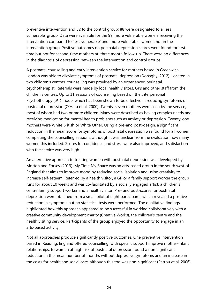preventive intervention and 52 to the control group; 88 were designated to a 'less vulnerable' group. Data were available for the 99 'more vulnerable women' receiving the intervention compared to 'less vulnerable' and 'more vulnerable' women not in the intervention group. Positive outcomes on postnatal depression scores were found for firsttime but not for second-time mothers at three month follow-up. There were no differences in the diagnosis of depression between the intervention and control groups.

A postnatal counselling and early intervention service for mothers based in Greenwich, London was able to alleviate symptoms of postnatal depression (Donaghy, 2012). Located in two children's centres, counselling was provided by an experienced perinatal psychotherapist. Referrals were made by local health visitors, GPs and other staff from the children's centres. Up to 11 sessions of counselling based on the Interpersonal Psychotherapy (IPT) model which has been shown to be effective in reducing symptoms of postnatal depression (O'Hara et al. 2000). Twenty-seven mothers were seen by the service, most of whom had two or more children. Many were described as having complex needs and receiving medication for mental health problems such as anxiety or depression. Twenty-one mothers were White British or White Other. Using a pre-and post-design, a significant reduction in the mean score for symptoms of postnatal depression was found for all women completing the counselling sessions; although it was unclear from the evaluation how many women this included. Scores for confidence and stress were also improved, and satisfaction with the service was very high.

An alternative approach to treating women with postnatal depression was developed by Morton and Forsey (2013). My Time My Space was an arts-based group in the south west of England that aims to improve mood by reducing social isolation and using creativity to increase self-esteem. Referred by a health visitor, a GP or a family support worker the group runs for about 10 weeks and was co-facilitated by a socially engaged artist, a children's centre family support worker and a health visitor. Pre- and post-scores for postnatal depression were obtained from a small pilot of eight participants which revealed a positive reduction in symptoms but no statistical tests were performed. The qualitative findings highlighted how this approach appeared to be successful in working collaboratively with a creative community development charity (Creative Works), the children's centre and the health visiting service. Participants of the group enjoyed the opportunity to engage in an arts-based activity.

Not all approaches produce significantly positive outcomes. One preventive intervention based in Reading, England offered counselling, with specific support improve mother-infant relationships, to women at high risk of postnatal depression found a non-significant reduction in the mean number of months without depressive symptoms and an increase in the costs for health and social care, although this too was non-significant (Petrou et al. 2006).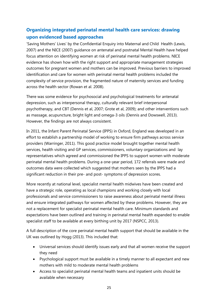## <span id="page-24-0"></span>**Organizing integrated perinatal mental health care services: drawing upon evidenced based approaches**

'Saving Mothers' Lives' by the Confidential Enquiry into Maternal and Child Health (Lewis, 2007) and the NICE (2007) guidance on antenatal and postnatal Mental Health have helped focus attention on identifying women at risk of perinatal mental health problems. NICE evidence has shown how with the right support and appropriate management strategies outcomes for pregnant women and mothers can be improved. Previous barriers to improved identification and care for women with perinatal mental health problems included the complexity of service provision, the fragmented nature of maternity services and funding across the health sector (Rowan et al. 2008).

There was some evidence for psychosocial and psychological treatments for antenatal depression, such as interpersonal therapy, culturally relevant brief interpersonal psychotherapy, and CBT (Dennis et al, 2007; Grote et al, 2009); and other interventions such as massage, acupuncture, bright light and omega-3 oils (Dennis and Dowswell, 2013). However, the findings are not always consistent.

In 2011, the Infant Parent Perinatal Service (IPPS) in Oxford, England was developed in an effort to establish a partnership model of working to ensure firm pathways across service providers (Warringer, 2011). This good practice model brought together mental health services, health visiting and GP services, commissioners, voluntary organizations and lay representatives which agreed and commissioned the IPPS to support women with moderate perinatal mental health problems. During a one-year period, 172 referrals were made and outcomes data were collected which suggested that mothers seen by the IPPS had a significant reduction in their pre- and post- symptoms of depression scores.

More recently at national level, specialist mental health midwives have been created and have a strategic role, operating as local champions and working closely with local professionals and service commissioners to raise awareness about perinatal mental illness and ensure integrated pathways for women affected by these problems. However, they are not a replacement for specialist perinatal mental health care. Minimum standards and expectations have been outlined and training in perinatal mental health expanded to enable specialist staff to be available at every birthing unit by 2017 (NSPCC, 2013).

A full description of the core perinatal mental health support that should be available in the UK was outlined by Hogg (2013). This included that:

- Universal services should identify issues early and that all women receive the support they need
- Psychological support must be available in a timely manner to all expectant and new mothers with mild to moderate mental health problems
- Access to specialist perinatal mental health teams and inpatient units should be available when necessary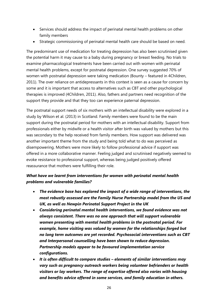- Services should address the impact of perinatal mental health problems on other family members
- Strategic commissioning of perinatal mental health care should be based on need.

The predominant use of medication for treating depression has also been scrutinised given the potential harm it may cause to a baby during pregnancy or breast feeding. No trials to examine pharmacological treatments have been carried out with women with perinatal mental health problems, except for postnatal depression. One survey suggested 70% of women with postnatal depression were taking medication (Bounty – featured in 4Children, 2011). The over reliance on antidepressants in this context is seen as a cause for concern by some and it is important that access to alternatives such as CBT and other psychological therapies is improved (4Children, 2011). Also, fathers and partners need recognition of the support they provide and that they too can experience paternal depression.

The postnatal support needs of six mothers with an intellectual disability were explored in a study by Wilson et al. (2013) in Scotland. Family members were found to be the main support during the postnatal period for mothers with an intellectual disability. Support from professionals either by midwife or a health visitor after birth was valued by mothers but this was secondary to the help received from family members. How support was delivered was another important theme from the study and being told what to do was perceived as disempowering. Mothers were more likely to follow professional advice if support was offered in a more collaborative manner. Feeling judged and scrutinised negatively seemed to evoke resistance to professional support, whereas being judged positively offered reassurance that mothers were fulfilling their role.

### *What have we learnt from interventions for women with perinatal mental health problems and vulnerable families?*

- *The evidence base has explored the impact of a wide range of interventions, the most robustly assessed are the Family Nurse Partnership model from the US and UK, as well as Newpin Perinatal Support Project in the UK*
- *Considering perinatal mental health interventions, we found evidence was not always consistent. There was no one approach that will support vulnerable women presenting with mental health problems in the postnatal period. For example, home visiting was valued by women for the relationships forged but no long term outcomes are yet recorded. Psychosocial interventions such as CBT and Interpersonal counselling have been shown to reduce depression. Partnership models appear to be favoured implementation service configurations.*
- *It is often difficult to compare studies – elements of similar interventions may vary such as pregnancy outreach workers being volunteer befrienders or health visitors or lay workers. The range of expertise offered also varies with housing and benefits advice offered in some services, and family education in others.*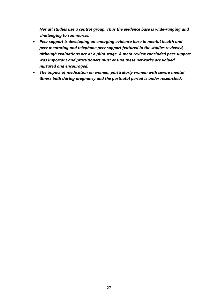*Not all studies use a control group. Thus the evidence base is wide-ranging and challenging to summarise.* 

- *Peer support is developing an emerging evidence base in mental health and peer mentoring and telephone peer support featured in the studies reviewed, although evaluations are at a pilot stage. A meta review concluded peer support was important and practitioners must ensure these networks are valued nurtured and encouraged.*
- *The impact of medication on women, particularly women with severe mental illness both during pregnancy and the postnatal period is under researched***.**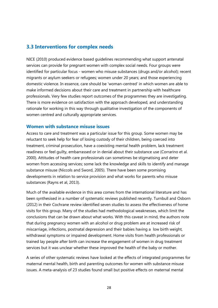### <span id="page-27-0"></span>**3.3 Interventions for complex needs**

NICE (2010) produced evidence based guidelines recommending what support antenatal services can provide for pregnant women with complex social needs. Four groups were identified for particular focus - women who misuse substances (drugs and/or alcohol); recent migrants or asylum seekers or refugees; women under 20 years; and those experiencing domestic violence. In essence, care should be 'woman-centred' in which women are able to make informed decisions about their care and treatment in partnership with healthcare professionals. Very few studies report outcomes of the programmes they are investigating. There is more evidence on satisfaction with the approach developed, and understanding rationale for working in this way through qualitative investigation of the components of women centred and culturally appropriate services.

#### <span id="page-27-1"></span>**Women with substance misuse issues**

Access to care and treatment was a particular issue for this group. Some women may be reluctant to seek help for fear of losing custody of their children, being coerced into treatment, criminal prosecution, have a coexisting mental health problem, lack treatment readiness or feel guilty, embarrassed or in denial about their substance use (Corrarino et al. 2000). Attitudes of health care professionals can sometimes be stigmatising and deter women from accessing services; some lack the knowledge and skills to identify and manage substance misuse (Niccols and Sword, 2005). There have been some promising developments in relation to service provision and what works for parents who misuse substances (Rayns et al, 2013).

Much of the available evidence in this area comes from the international literature and has been synthesised in a number of systematic reviews published recently. Turnbull and Osborn (2012) in their Cochrane review identified seven studies to assess the effectiveness of home visits for this group. Many of the studies had methodological weaknesses, which limit the conclusions that can be drawn about what works. With this caveat in mind, the authors note that during pregnancy women with an alcohol or drug problem are at increased risk of miscarriage, infections, postnatal depression and their babies having a low birth weight, withdrawal symptoms or impaired development. Home visits from health professionals or trained lay people after birth can increase the engagement of women in drug treatment services but it was unclear whether these improved the health of the baby or mother.

A series of other systematic reviews have looked at the effects of integrated programmes for maternal mental health, birth and parenting outcomes for women with substance misuse issues. A meta-analysis of 23 studies found small but positive effects on maternal mental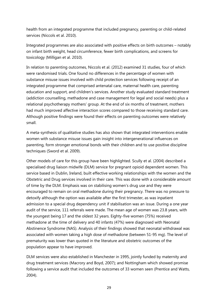health from an integrated programme that included pregnancy, parenting or child-related services (Niccols et al. 2010).

Integrated programmes are also associated with positive effects on birth outcomes – notably on infant birth weight, head circumference, fewer birth complications, and screens for toxicology (Milligan et al. 2010).

In relation to parenting outcomes, Niccols et al. (2012) examined 31 studies, four of which were randomised trials. One found no differences in the percentage of women with substance misuse issues involved with child protection services following receipt of an integrated programme that comprised antenatal care, maternal health care, parenting education and support, and children's services. Another study evaluated standard treatment (addiction counselling, methadone and case management for legal and social needs) plus a relational psychotherapy mothers' group. At the end of six months of treatment, mothers had much improved affective interaction scores compared to those receiving standard care. Although positive findings were found their effects on parenting outcomes were relatively small.

A meta-synthesis of qualitative studies has also shown that integrated interventions enable women with substance misuse issues gain insight into intergenerational influences on parenting, form stronger emotional bonds with their children and to use positive discipline techniques (Sword et al. 2009).

Other models of care for this group have been highlighted. Scully et al. (2004) described a specialised drug liaison midwife (DLM) service for pregnant opioid dependent women. This service based in Dublin, Ireland, built effective working relationships with the women and the Obstetric and Drug services involved in their care. This was done with a considerable amount of time by the DLM. Emphasis was on stabilising women's drug use and they were encouraged to remain on oral methadone during their pregnancy. There was no pressure to detoxify although the option was available after the first trimester, as was inpatient admission to a special drug dependency unit if stabilisation was an issue. During a one year audit of the service, 111 referrals were made. The mean age of women was 23.8 years, with the youngest being 17 and the oldest 32 years. Eighty-five women (75%) received methadone at the time of delivery and 40 infants (47%) were diagnosed with Neonatal Abstinence Syndrome (NAS). Analysis of their findings showed that neonatal withdrawal was associated with women taking a high dose of methadone (between 51-95 mg). The level of prematurity was lower than quoted in the literature and obstetric outcomes of the population appear to have improved.

DLM services were also established in Manchester in 1995, jointly funded by maternity and drug treatment services (Macrory and Boyd, 2007); and Nottingham which showed promise following a service audit that included the outcomes of 33 women seen (Prentice and Watts, 2004).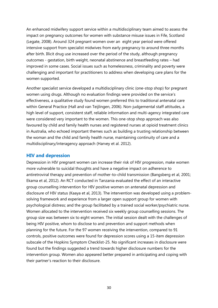An enhanced midwifery support service within a multidisciplinary team aimed to assess the impact on pregnancy outcomes for women with substance misuse issues in Fife, Scotland (Legate, 2008). Around 324 pregnant women over an eight year period were offered intensive support from specialist midwives from early pregnancy to around three months after birth. Illicit drug use increased over the period of the study, although pregnancy outcomes - gestation, birth weight, neonatal abstinence and breastfeeding rates – had improved in some cases. Social issues such as homelessness, criminality and poverty were challenging and important for practitioners to address when developing care plans for the women supported.

Another specialist service developed a multidisciplinary clinic (one-stop shop) for pregnant women using drugs. Although no evaluation findings were provided on the service's effectiveness, a qualitative study found women preferred this to traditional antenatal care within General Practice (Hall and van Teijlingen, 2006). Non-judgemental staff attitudes, a high level of support, consistent staff, reliable information and multi-agency integrated care were considered very important to the women. This one-stop shop approach was also favoured by child and family health nurses and registered nurses at opioid treatment clinics in Australia, who echoed important themes such as building a trusting relationship between the woman and the child and family health nurse, maintaining continuity of care and a multidisciplinary/interagency approach (Harvey et al. 2012).

#### <span id="page-29-0"></span>**HIV and depression**

Depression in HIV pregnant women can increase their risk of HIV progression, make women more vulnerable to suicidal thoughts and have a negative impact on adherence to antiretroviral therapy and prevention of mother-to-child transmission (Bangsberg et al, 2001; Ekama et al, 2012). An RCT conducted in Tanzania evaluated the effect of an interactive group counselling intervention for HIV positive women on antenatal depression and disclosure of HIV status (Kaaya et al, 2013). The intervention was developed using a problemsolving framework and experience from a larger open support group for women with psychological distress; and the group facilitated by a trained social worker/psychiatric nurse. Women allocated to the intervention received six weekly group counselling sessions. The group size was between six to eight women. The initial session dealt with the challenges of being HIV positive, whom to disclose to and prevention and support methods when planning for the future. For the 97 women receiving the intervention, compared to 91 controls, positive outcomes were found for depression scores using a 15-item depression subscale of the Hopkins Symptom Checklist-25. No significant increases in disclosure were found but the findings suggested a trend towards higher disclosure numbers for the intervention group. Women also appeared better prepared in anticipating and coping with their partner's reaction to their disclosure.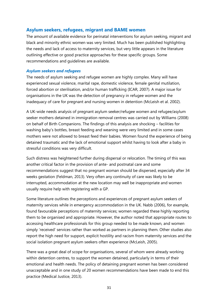### <span id="page-30-0"></span>**Asylum seekers, refugees, migrant and BAME women**

The amount of available evidence for perinatal interventions for asylum seeking, migrant and black and minority ethnic women was very limited. Much has been published highlighting the needs and lack of access to maternity services, but very little appears in the literature outlining effective or good practice approaches for these specific groups. Some recommendations and guidelines are available.

#### *Asylum seekers and refugees*

The needs of asylum seeking and refugee women are highly complex. Many will have experienced sexual violence, marital rape, domestic violence, female genital mutilation, forced abortion or sterilisation, and/or human trafficking (ICAR, 2007). A major issue for organisations in the UK was the detection of pregnancy in refugee women and the inadequacy of care for pregnant and nursing women in detention (McLeish et al. 2002).

A UK-wide needs analysis of pregnant asylum seeker/refugee women and refugee/asylum seeker mothers detained in immigration removal centres was carried out by Williams (2008) on behalf of Birth Companions. The findings of this analysis are shocking – facilities for washing baby's bottles, breast feeding and weaning were very limited and in some cases mothers were not allowed to breast feed their babies. Women found the experience of being detained traumatic and the lack of emotional support whilst having to look after a baby in stressful conditions was very difficult.

Such distress was heightened further during dispersal or relocation. The timing of this was another critical factor in the provision of ante- and postnatal care and some recommendations suggest that no pregnant woman should be dispersed, especially after 34 weeks gestation (Feldman, 2013). Very often any continuity of care was likely to be interrupted, accommodation at the new location may well be inappropriate and women usually require help with registering with a GP.

Some literature outlines the perceptions and experiences of pregnant asylum seekers of maternity services while in emergency accommodation in the UK. Nabb (2006), for example, found favourable perceptions of maternity services; women regarded these highly reporting them to be organised and appropriate. However, the author noted that appropriate routes to accessing healthcare professionals for this group needed to be made known, and women simply 'received' services rather than worked as partners in planning them. Other studies also report the high need for support, explicit hostility and racism from maternity services and the social isolation pregnant asylum seekers often experience (McLeish, 2005).

There was a great deal of scope for organisations, several of whom were already working within detention centres, to support the women detained, particularly in terms of their emotional and health needs. The policy of detaining pregnant women has been considered unacceptable and in one study of 20 women recommendations have been made to end this practice (Medical Justice, 2013).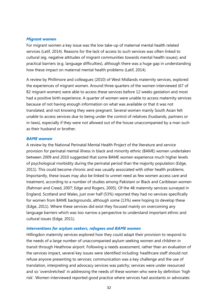#### *Migrant women*

For migrant women a key issue was the low take-up of maternal mental health related services (Latif, 2014). Reasons for the lack of access to such services was often linked to cultural (eg. negative attitudes of migrant communities towards mental health issues); and practical barriers (e.g. language difficulties), although there was a huge gap in understanding how these impact on maternal mental health problems (Latif, 2014).

A review by Phillimore and colleagues (2010) of West Midlands maternity services, explored the experiences of migrant women. Around three quarters of the women interviewed (67 of 82 migrant women) were able to access these services before 12 weeks gestation and most had a positive birth experience. A quarter of women were unable to access maternity services because of not having enough information on what was available or that it was not translated, and not knowing they were pregnant. Several women mainly South Asian felt unable to access services due to being under the control of relatives (husbands, partners or in-laws), especially if they were not allowed out of the house unaccompanied by a man such as their husband or brother.

#### *BAME women*

A review by the National Perinatal Mental Health Project of the literature and service provision for perinatal mental illness in black and minority ethnic (BAME) women undertaken between 2009 and 2010 suggested that some BAME women experience much higher levels of psychological morbidity during the perinatal period than the majority population (Edge, 2011). This could become chronic and was usually associated with other health problems. Importantly, these issues may also be linked to unmet need as few women access care and treatment, according to a number of studies among Pakistani or Black and Caribbean women (Rahman and Creed, 2007; Edge and Rogers, 2005). Of the 48 maternity services surveyed in England, Scotland and Wales, just over half (53%) reported they had no services specifically for women from BAME backgrounds, although some (13%) were hoping to develop these (Edge, 2011). Where these services did exist they focused mainly on overcoming any language barriers which was too narrow a perspective to understand important ethnic and cultural issues (Edge, 2011).

#### *Interventions for asylum seekers, refugees and BAME women*

Hillingdon maternity services explored how they could adapt their provision to respond to the needs of a large number of unaccompanied asylum seeking women and children in transit through Heathrow airport. Following a needs assessment, rather than an evaluation of the services impact, several key issues were identified including: healthcare staff should not refuse anyone presenting to services; communication was a key challenge and the use of translation, interpreting and advocacy services was patchy; services were under resourced and so 'overstretched' in addressing the needs of these women who were by definition 'high risk'. Women interviewed reported good practice where services had assistants or advocates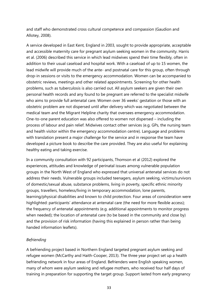and staff who demonstrated cross cultural competence and compassion (Gaudion and Allotey, 2008).

A service developed in East Kent, England in 2003, sought to provide appropriate, acceptable and accessible maternity care for pregnant asylum seeking women in the community. Harris et al. (2006) described this service in which lead midwives spend their time flexibly, often in addition to their usual caseload and hospital work. With a caseload of up to 15 women, the lead midwife will provide much of the ante- and postnatal care for this group, often through drop-in sessions or visits to the emergency accommodation. Women can be accompanied to obstetric reviews, meetings and other related appointments. Screening for other health problems, such as tuberculosis is also carried out. All asylum seekers are given their own personal health records and any found to be pregnant are referred to the specialist midwife who aims to provide full antenatal care. Women over 36 weeks' gestation or those with an obstetric problem are not dispersed until after delivery which was negotiated between the medical team and the Migrant Helpline charity that oversees emergency accommodation. One-to-one parent education was also offered to women not dispersed – including the process of labour and pain relief. Midwives contact other services (e.g. GPs, the nursing team and health visitor within the emergency accommodation centre). Language and problems with translation present a major challenge for the service and in response the team have developed a picture book to describe the care provided. They are also useful for explaining healthy eating and taking exercise.

In a community consultation with 92 participants, Thomson et al (2012) explored the experiences, attitudes and knowledge of perinatal issues among vulnerable population groups in the North West of England who expressed that universal antenatal services do not address their needs. Vulnerable groups included teenagers, asylum seeking, victims/survivors of domestic/sexual abuse, substance problems, living in poverty, specific ethnic minority groups, travellers, homeless/living in temporary accommodation, lone parents, learning/physical disabilities and known to child protection. Four areas of consideration were highlighted: participants' attendance at antenatal care (the need for more flexible access); the frequency of antenatal appointments (e.g. additional appointments to monitor progress when needed); the location of antenatal care (to be based in the community and close by) and the provision of risk information (having this explained in person rather than being handed information leaflets).

#### *Befriending*

A befriending project based in Northern England targeted pregnant asylum seeking and refugee women (McCarthy and Haith-Cooper, 2013). The three year project set up a health befriending network in four areas of England. Befrienders were English speaking women, many of whom were asylum seeking and refugee mothers, who received four half days of training in preparation for supporting the target group. Support lasted from early pregnancy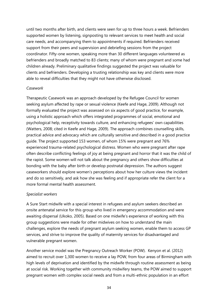until two months after birth, and clients were seen for up to three hours a week. Befrienders supported women by listening, signposting to relevant services to meet health and social care needs, and accompanying them to appointments if required. Befrienders received support from their peers and supervision and debriefing sessions from the project coordinator. Fifty-one women, speaking more than 30 different languages volunteered as befrienders and broadly matched to 83 clients; many of whom were pregnant and some had children already. Preliminary qualitative findings suggested the project was valuable for clients and befrienders. Developing a trusting relationship was key and clients were more able to reveal difficulties that they might not have otherwise disclosed.

#### *Casework*

Therapeutic Casework was an approach developed by the Refugee Council for women seeking asylum affected by rape or sexual violence (Keefe and Hage, 2009). Although not formally evaluated the project was assessed on six aspects of good practice, for example, using a holistic approach which offers integrated programmes of social, emotional and psychological help, receptivity towards culture, and enhancing refugees' own capabilities (Watters, 2008; cited in Keefe and Hage, 2009). The approach combines counselling skills, practical advice and advocacy which are culturally sensitive and described in a good practice guide. The project supported 153 women, of whom 15% were pregnant and 76% experienced trauma-related psychological distress. Women who were pregnant after rape often describe conflicting feelings of joy at being pregnant and horror that it was the child of the rapist. Some women will not talk about the pregnancy and others show difficulties at bonding with the baby after birth or develop postnatal depression. The authors suggest caseworkers should explore women's perceptions about how her culture views the incident and do so sensitively, and ask how she was feeling and if appropriate refer the client for a more formal mental health assessment.

#### *Specialist workers*

A Sure Start midwife with a special interest in refugees and asylum seekers described an onsite antenatal service for this group who lived in emergency accommodation and were awaiting dispersal (Ukoko, 2005). Based on one midwife's experience of working with this group suggestions were made for other midwives on how to understand the main challenges, explore the needs of pregnant asylum seeking women, enable them to access GP services, and strive to improve the quality of maternity services for disadvantaged and vulnerable pregnant women.

Another service model was the Pregnancy Outreach Worker (POW). Kenyon et al. (2012) aimed to recruit over 1,300 women to receive a lay POW, from four areas of Birmingham with high levels of deprivation and identified by the midwife through routine assessment as being at social risk. Working together with community midwifery teams, the POW aimed to support pregnant women with complex social needs and from a multi-ethnic population in an effort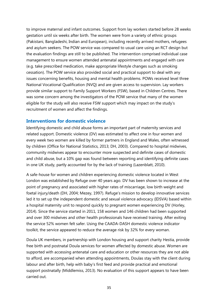to improve maternal and infant outcomes. Support from lay workers started before 28 weeks gestation until six weeks after birth. The women were from a variety of ethnic groups (Pakistani, Bangladeshi, Indian and European), including recently arrived mothers, refugees and asylum seekers. The POW service was compared to usual care using an RCT design but the evaluation findings are still to be published. The intervention comprised individual case management to ensure women attended antenatal appointments and engaged with care (e.g. take prescribed medication, make appropriate lifestyle changes such as smoking cessation). The POW service also provided social and practical support to deal with any issues concerning benefits, housing and mental health problems. POWs received level three National Vocational Qualification (NVQ) and are given access to supervision. Lay workers provide similar support to Family Support Workers (FSW), based in Children Centres. There was some concern among the investigators of the POW service that many of the women eligible for the study will also receive FSW support which may impact on the study's recruitment of women and affect the findings.

#### <span id="page-34-0"></span>**Interventions for domestic violence**

Identifying domestic and child abuse forms an important part of maternity services and related support. Domestic violence (DV) was estimated to affect one in four women and every week two women are killed by former partners in England and Wales, often witnessed by children (Office for National Statistics, 2013; DH, 2003). Compared to hospital midwives, community midwives appear to encounter more suspected and definite cases of domestic and child abuse, but a 10% gap was found between reporting and identifying definite cases in one UK study, partly accounted for by the lack of training (Lazenblatt, 2010).

A safe-house for women and children experiencing domestic violence located in West London was established by Refuge over 40 years ago. DV has been shown to increase at the point of pregnancy and associated with higher rates of miscarriage, low birth weight and foetal injury/death (DH, 2004; Mezey, 1997). Refuge's mission to develop innovative services led it to set up the independent domestic and sexual violence advocacy (IDSVA) based within a hospital maternity unit to respond quickly to pregnant women experiencing DV (Horley, 2014). Since the service started in 2011, 158 women and 146 children had been supported and over 300 midwives and other health professionals have received training. After exiting the service 52% women felt safer. Using the CAADA-DASH domestic violence indicator toolkit, the service appeared to reduce the average risk by 32% for every woman.

Doula UK members, in partnership with London housing and support charity Hestia, provide free birth and postnatal Doula services for women affected by domestic abuse. Women are supported with accessing antenatal care and education or other resources they are not able to afford, are accompanied when attending appointments, Doulas stay with the client during labour and after birth, help with baby's first feed and provide practical and emotional support postnatally (Middlemiss, 2013). No evaluation of this support appears to have been carried out.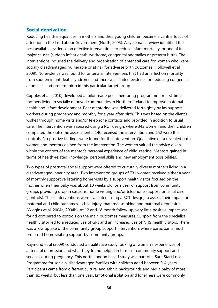### <span id="page-35-0"></span>**Social deprivation**

Reducing health inequalities in mothers and their young children became a central focus of attention in the last Labour Government (North, 2005). A systematic review identified the best available evidence on effective interventions to reduce infant mortality, or one of its major causes (sudden infant death syndrome, congenital anomalies or preterm birth). The interventions included the delivery and organisation of antenatal care for women who were socially disadvantaged, vulnerable or at risk for adverse birth outcomes (Hollowell et al, 2009). No evidence was found for antenatal interventions that had an effect on mortality from sudden infant death syndrome and there was limited evidence on reducing congenital anomalies and preterm birth in this particular target group.

Cupples et al. (2010) developed a tailor made peer-mentoring programme for first-time mothers living in socially deprived communities in Northern Ireland to improve maternal health and infant development. Peer mentoring was delivered fortnightly by lay support workers during pregnancy and monthly for a year after birth. This was based on the client's wishes through home visits and/or telephone contacts and provided in addition to usual care. The intervention was assessed using a RCT design, where 343 women and their children completed the outcome assessments -140 received the intervention and 152 were the controls. No positive findings were found for the intervention. Qualitative data revealed both women and mentors gained from the intervention. The women valued the advice given within the context of the mentor's personal experience of child-rearing. Mentors gained in terms of health-related knowledge, personal skills and new employment possibilities.

Two types of postnatal social support were offered to culturally diverse mothers living in a disadvantaged inner city area. Two intervention groups of 731 women received either a year of monthly supportive listening home visits by a support health visitor focused on the mother when their baby was about 10 weeks old; or a year of support from community groups providing drop in sessions, home visiting and/or telephone support; or usual care (controls). These interventions were evaluated, using a RCT design, to assess their impact on maternal and child outcomes – child injury, maternal smoking and maternal depression (Wiggins et al, 2004a; 2004b). At 12 and 18 month follow-up, very little positive impact was found compared to controls on the main outcomes measures. Support from the specialist health visitor led to a reduced use of GPs and an increased use of NHS health visitors. There was a low uptake of the community group support intervention, where participants much preferred home visiting support by community groups.

Raymond et al (2009) conducted a qualitative study looking at women's experiences of antenatal depression and what they found helpful in terms of community support and services during pregnancy. This north London based study was part of a Sure Start Local Programme for socially disadvantaged families with children aged between 0-4 years. Participants came from different cultural and ethnic backgrounds and had a baby of more than six weeks, but less than one year. Emotional isolation and loneliness were commonly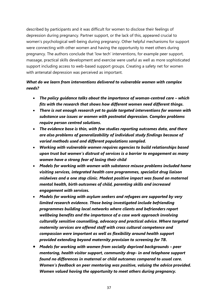described by participants and it was difficult for women to disclose their feelings of depression during pregnancy. Partner support, or the lack of this, appeared crucial to women's psychological well-being during pregnancy. Other helpful mechanisms for support were connecting with other women and having the opportunity to meet others during pregnancy. The authors conclude that 'low tech' interventions, for example peer support, massage, practical skills development and exercise were useful as well as more sophisticated support including access to web-based support groups. Creating a safety net for women with antenatal depression was perceived as important.

### *What do we learn from interventions delivered to vulnerable women with complex needs?*

- The policy quidance talks about the importance of woman-centred care which *fits with the research that shows how different women need different things.*
- *There is not enough research yet to guide targeted interventions for women with substance use issues or women with postnatal depression. Complex problems require person centred solutions.*
- *The evidence base is thin, with few studies reporting outcomes data, and there are also problems of generalizability of individual study findings because of varied methods used and different populations sampled.*
- *Working with vulnerable women requires agencies to build relationships based upon trust but women's distrust of services is a barrier to engagement as many women have a strong fear of losing their child*
- *Models for working with women with substance misuse problems included home visiting services, integrated health care programmes, specialist drug liaison midwives and a one stop clinic. Modest positive impact was found on maternal mental health, birth outcomes of child, parenting skills and increased engagement with services.*
- *Models for working with asylum seekers and refugees are supported by very limited research evidence. Those being investigated include befriending programmes building local networks where clients and befrienders report wellbeing benefits and the importance of a case work approach involving culturally sensitive counselling, advocacy and practical advice. Where targeted maternity services are offered staff with cross cultural competence and compassion were important as well as flexibility around health support provided extending beyond maternity provision to screening for TB***.**
- *Models for working with women from socially deprived backgrounds – peer mentoring, health visitor support, community drop- in and telephone support found no differences in maternal or child outcomes compared to usual care. Women's feedback on peer mentoring was positive, valuing the advice provided. Women valued having the opportunity to meet others during pregnancy.*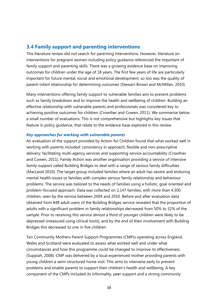### <span id="page-37-0"></span>**3.4 Family support and parenting interventions**

This literature review did not search for parenting interventions. However, literature on interventions for pregnant women including policy guidance referenced the important of family support and parenting skills. There was a growing evidence base on improving outcomes for children under the age of 18 years. The first few years of life are particularly important for future mental, social and emotional development; so too was the quality of parent-infant relationship for determining outcomes (Stewart-Brown and McMillan, 2010).

Many interventions offering family support to vulnerable families aim to prevent problems such as family breakdown and to improve the health and wellbeing of children. Building an effective relationship with vulnerable parents and professionals was considered key to achieving positive outcomes for children (Crowther and Cowen, 2011). We summarise below a small number of evaluations. This is not comprehensive but highlights key issues that feature in policy guidance, that relate to the evidence base explored in this review.

#### *Key approaches for working with vulnerable parents*

An evaluation of the support provided by Action for Children found that what worked well in working with parents included: consistency in approach; flexible and non-prescriptive delivery; facilitating multi-agency services and supporting service accountability (Crowther and Cowen, 2011). Family Action was another organisation providing a service of intensive family support called Building Bridges to deal with a range of serious family difficulties (MacLeod 2010). The target group included families where an adult has severe and enduring mental health issues or families with complex serious family relationship and behaviour problems. The service was tailored to the needs of families using a holistic, goal oriented and problem-focused approach. Data was collected on 2,147 families, with more than 4,300 children, seen by the service between 2004 and 2010. Before and after evaluation data obtained from 848 adult users of the Building Bridges service revealed that the proportion of adults with a significant problem in family relationships decreased from 50% to 32% of the sample. Prior to receiving this service almost a third of younger children were likely to be depressed (measured using clinical tools); and by the end of their involvement with Building Bridges this decreased to one in five children.

Ten Community Mothers Parent Support Programmes (CMPs) operating across England, Wales and Scotland were evaluated to assess what worked well and under what circumstances and how this programme could be changed to improve its effectiveness (Suppiah, 2008). CMP was delivered by a local experienced mother providing parents with young children a semi-structured home visit. This aims to intervene early to prevent problems and enable parents to support their children's health and wellbeing. A key component of the CMPs included its informality, peer support and a strong community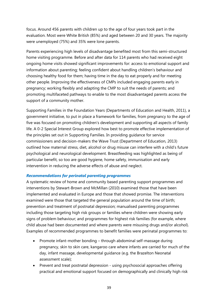focus. Around 456 parents with children up to the age of four years took part in the evaluation. Most were White British (85%) and aged between 20 and 30 years. The majority were unemployed (75%) and 35% were lone parents.

Parents experiencing high levels of disadvantage benefited most from this semi-structured home visiting programme. Before and after data for 114 parents who had received eight ongoing home visits showed significant improvements for: access to emotional support and information about parenting; feeling confident about handling children's behaviour and choosing healthy food for them; having time in the day to eat properly and for meeting other people. Improving the effectiveness of CMPs included engaging parents early in pregnancy; working flexibly and adapting the CMP to suit the needs of parents; and promoting multifaceted pathways to enable to the most disadvantaged parents access the support of a community mother.

Supporting Families in the Foundation Years (Departments of Education and Health, 2011), a government initiative, to put in place a framework for families, from pregnancy to the age of five was focused on promoting children's development and supporting all aspects of family life. A 0-2 Special Interest Group explored how best to promote effective implementation of the principles set out in Supporting Families. In providing guidance for service commissioners and decision-makers the Wave Trust (Department of Education, 2013) outlined how maternal stress, diet, alcohol or drug misuse can interfere with a child's future psychological and neurological development. Breastfeeding was highlighted as being of particular benefit, so too are good hygiene, home safety, immunisation and early intervention in reducing the adverse effects of abuse and neglect.

#### *Recommendations for perinatal parenting programmes*

A systematic review of home and community based parenting support programmes and interventions by Stewart-Brown and McMillan (2010) examined those that have been implemented and evaluated in Europe and those that showed promise. The interventions examined were those that targeted the general population around the time of birth; prevention and treatment of postnatal depression; manualised parenting programmes including those targeting high risk groups or families where children were showing early signs of problem behaviour; and programmes for highest risk families (for example, where child abuse had been documented and where parents were misusing drugs and/or alcohol). Examples of recommended programmes to benefit families were perinatal programmes to:

- Promote infant-mother bonding through abdominal self-massage during pregnancy, skin to skin care, kangaroo care where infants are carried for much of the day, infant massage, developmental guidance (e.g. the Brazelton Neonatal assessment scale);
- Prevent and treat postnatal depression using psychosocial approaches offering practical and emotional support focused on demographically and clinically high risk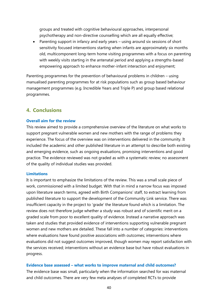groups and treated with cognitive behavioural approaches, interpersonal psychotherapy and non-directive counselling which are all equally effective;

 Parenting support in infancy and early years – using around six sessions of short sensitivity focused interventions starting when infants are approximately six months old, multicomponent long-term home visiting programmes with a focus on parenting with weekly visits starting in the antenatal period and applying a strengths-based empowering approach to enhance mother-infant interaction and enjoyment;

Parenting programmes for the prevention of behavioural problems in children – using manualised parenting programmes for at risk populations such as group based behaviour management programmes (e.g. Incredible Years and Triple P) and group based relational programmes.

### <span id="page-39-0"></span>**4. Conclusions**

#### **Overall aim for the review**

This review aimed to provide a comprehensive overview of the literature on what works to support pregnant vulnerable women and new mothers with the range of problems they experience. The focus of the overview was on interventions delivered in the community. It included the academic and other published literature in an attempt to describe both existing and emerging evidence, such as ongoing evaluations, promising interventions and good practice. The evidence reviewed was not graded as with a systematic review; no assessment of the quality of individual studies was provided.

#### **Limitations**

It is important to emphasize the limitations of the review. This was a small scale piece of work, commissioned with a limited budget. With that in mind a narrow focus was imposed upon literature search terms, agreed with Birth Companions' staff, to extract learning from published literature to support the development of the Community Link service. There was insufficient capacity in the project to 'grade' the literature found which is a limitation. The review does not therefore judge whether a study was robust and of scientific merit on a graded scale from poor to excellent quality of evidence. Instead a narrative approach was taken and studies that provided evidence of interventions supporting vulnerable pregnant women and new mothers are detailed. These fall into a number of categories: interventions where evaluations have found positive associations with outcomes; interventions where evaluations did not suggest outcomes improved, though women may report satisfaction with the services received; interventions without an evidence base but have robust evaluations in progress.

#### **Evidence base assessed – what works to improve maternal and child outcomes?**

The evidence base was small, particularly when the information searched for was maternal and child outcomes. There are very few meta analyses of completed RCTs to provide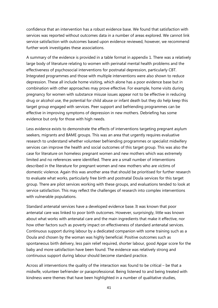confidence that an intervention has a robust evidence base. We found that satisfaction with services was reported without outcomes data in a number of areas explored. We cannot link service satisfaction with outcomes based upon evidence reviewed, however, we recommend further work investigates these associations.

A summary of the evidence is provided in a table format in appendix 1. There was a relatively large body of literature relating to women with perinatal mental health problems and the effectiveness of psychosocial interventions for postnatal depression, particularly CBT. Integrated programmes and those with multiple interventions were also shown to reduce depression. These all include home visiting, which alone has a poor evidence base but in combination with other approaches may prove effective. For example, home visits during pregnancy for women with substance misuse issues appear not to be effective in reducing drug or alcohol use, the potential for child abuse or infant death but they do help keep this target group engaged with services. Peer support and befriending programmes can be effective in improving symptoms of depression in new mothers. Debriefing has some evidence but only for those with high needs.

Less evidence exists to demonstrate the effects of interventions targeting pregnant asylum seekers, migrants and BAME groups. This was an area that urgently requires evaluative research to understand whether volunteer befriending programmes or specialist midwifery services can improve the health and social outcomes of this target group. This was also the case for literature on homeless pregnant women and new mothers which was extremely limited and no references were identified. There are a small number of interventions described in the literature for pregnant women and new mothers who are victims of domestic violence. Again this was another area that should be prioritised for further research to evaluate what works, particularly free birth and postnatal Doula services for this target group. There are pilot services working with these groups, and evaluations tended to look at service satisfaction. This may reflect the challenges of research into complex interventions with vulnerable populations.

Standard antenatal services have a developed evidence base. It was known that poor antenatal care was linked to poor birth outcomes. However, surprisingly, little was known about what works with antenatal care and the main ingredients that make it effective, nor how other factors such as poverty impact on effectiveness of standard antenatal services. Continuous support during labour by a dedicated companion with some training such as a Doula and chosen by the woman was highly beneficial. Positive outcomes such as spontaneous birth delivery, less pain relief required, shorter labour, good Apgar score for the baby and more satisfaction have been found. The evidence was relatively strong and continuous support during labour should become standard practice.

Across all interventions the quality of the interaction was found to be critical – be that a midwife, volunteer befriender or paraprofessional. Being listened to and being treated with kindness were themes that have been highlighted in a number of qualitative studies,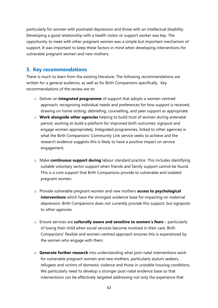particularly for women with postnatal depression and those with an intellectual disability. Developing a good relationship with a health visitor or support worker was key. The opportunity to meet with other pregnant women was a simple but important mechanism of support. It was important to keep these factors in mind when developing interventions for vulnerable pregnant women and new mothers.

### <span id="page-41-0"></span>**5. Key recommendations**

There is much to learn from the existing literature. The following recommendations are written for a general audience, as well as for Birth Companions specifically. Key recommendations of the review are to:

- o Deliver an **integrated programme** of support that adopts a women-centred approach, recognising individual needs and preferences for how support is received, drawing on home visiting, debriefing, counselling, and peer support as appropriate.
- o **Work alongside other agencies** helping to build trust of women during antenatal period, working to build a platform for improved birth outcomes: signpost and engage women appropriately. Integrated programmes, linked to other agencies is what the Birth Companions' Community Link service seeks to achieve and the research evidence suggests this is likely to have a positive impact on service engagement.
- o Make **continuous support during** labour standard practice. This includes identifying suitable voluntary sector support when friends and family support cannot be found. This is a core support that Birth Companions provide to vulnerable and isolated pregnant women.
- o Provide vulnerable pregnant women and new mothers **access to psychological interventions** which have the strongest evidence base for impacting on maternal depression. Birth Companions does not currently provide this support, but signposts to other agencies.
- o Ensure services are **culturally aware and sensitive to women's fears** particularly of losing their child when social services become involved in their care. Birth Companions' flexible and women-centred approach ensures this is experienced by the women who engage with them.
- o **Generate further research** into understanding what post-natal interventions work for vulnerable pregnant women and new mothers, particularly asylum seekers, refugees and victims of domestic violence and those in unstable housing conditions. We particularly need to develop a stronger post-natal evidence base so that interventions can be effectively targeted addressing not only the experience that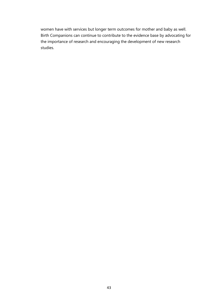women have with services but longer term outcomes for mother and baby as well. Birth Companions can continue to contribute to the evidence base by advocating for the importance of research and encouraging the development of new research studies.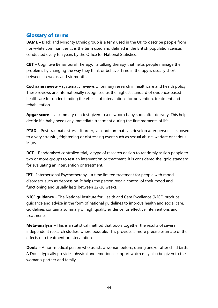## <span id="page-43-0"></span>**Glossary of terms**

**BAME** – Black and Minority Ethnic group is a term used in the UK to describe people from non-white communities. It is the term used and defined in the British population census conducted every ten years by the Office for National Statistics.

**CBT** – Cognitive Behavioural Therapy, a talking therapy that helps people manage their problems by changing the way they think or behave. Time in therapy is usually short, between six weeks and six months.

**Cochrane review** – systematic reviews of primary research in healthcare and health policy. These reviews are internationally recognised as the highest standard of evidence-based healthcare for understanding the effects of interventions for prevention, treatment and rehabilitation.

**Apgar score** – a summary of a test given to a newborn baby soon after delivery. This helps decide if a baby needs any immediate treatment during the first moments of life.

**PTSD** – Post traumatic stress disorder, a condition that can develop after person is exposed to a very stressful, frightening or distressing event such as sexual abuse, warfare or serious injury.

**RCT** – Randomised controlled trial, a type of research design to randomly assign people to two or more groups to test an intervention or treatment. It is considered the 'gold standard' for evaluating an intervention or treatment.

**IPT** - Interpersonal Psychotherapy, a time limited treatment for people with mood disorders, such as depression. It helps the person regain control of their mood and functioning and usually lasts between 12-16 weeks.

**NICE guidance** – The National Institute for Health and Care Excellence (NICE) produce guidance and advice in the form of national guidelines to improve health and social care. Guidelines contain a summary of high quality evidence for effective interventions and treatments.

**Meta-analysis** – This is a statistical method that pools together the results of several independent research studies, where possible. This provides a more precise estimate of the effects of a treatment or intervention.

**Doula** – A non-medical person who assists a woman before, during and/or after child birth. A Doula typically provides physical and emotional support which may also be given to the woman's partner and family.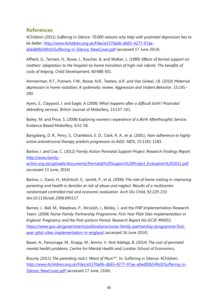### <span id="page-44-0"></span>**References**

4Children (2011) *Suffering in Silence: 70,000 reasons why help with postnatal depression has to be better*. [http://www.4children.org.uk/Files/e5370a06-db65-4277-97ae](http://www.4children.org.uk/Files/e5370a06-db65-4277-97ae-a0ed00b549c0/Suffering-in-Silence_NewCover.pdf)[a0ed00b549c0/Suffering-in-Silence\\_NewCover.pdf](http://www.4children.org.uk/Files/e5370a06-db65-4277-97ae-a0ed00b549c0/Suffering-in-Silence_NewCover.pdf) (accessed 17 June 2014).

Affleck, G., Tennen, H., Rowe, J., Roscher, B. and Walker, L. (1989) *Effects of formal support on mothers' adaptation to the hospital-to-home transition of high-risk infants: The benefits of costs of helping*. Child Development, 60:488-501.

Ammerman, R.T., Putnam, F.W., Bosse, N.R., Teeters, A.R. and Van Ginkel, J.B. (2010) *Maternal depression in home visitation: A systematic review. Aggression and Violent Behavior*, 15:191– 200.

Ayers, S., Claypool, J. and Eagle, A (2006) *What happens after a difficult birth? Postnatal debriefing services*. British Journal of Midwifery, 13:157-161.

Bailey, M. and Price, S. (2008) E*xploring women's experience of a Birth Afterthoughts Service.*  Evidence Based Midwifery, 6:52-58.

Bangsberg, D. R., Perry, S., Charlebois, E. D., Clark, R. A., et al. (2001). *Non-adherence to highly active antiretroviral therapy predicts progression to AIDS*. AIDS, 15:1181-1183.

Barlow J. and Coe, C. (2012) *Family Action Perinatal Support Project. Research Findings Report.* [http://www.family-](http://www.family-action.org.uk/uploads/documents/Perinatal%20Support%20Project_Evaluation%202012.pdf)

[action.org.uk/uploads/documents/Perinatal%20Support%20Project\\_Evaluation%202012.pdf](http://www.family-action.org.uk/uploads/documents/Perinatal%20Support%20Project_Evaluation%202012.pdf) (accessed 13 June, 2014).

Barlow, J., Davis, H., McIntosh, E., Jarrett, P., et al. (2006) *The role of home visiting in improving parenting and health in families at risk of abuse and neglect: Results of a multicentre randomised controlled trial and economic evaluation*. Arch Dis Child, 92:229-233 doi:10.1136/adc.2006.095117.

Barnes, J., Ball, M., Meadows, P., McLeish, J., Belsky, J. and the FNP Implementation Research Team. (2008) *Nurse-Family Partnership Programme: First Year Pilot Sites Implementation in England. Pregnancy and the Post-partum Period. Research Report No DCSF-RW051.* [https://www.gov.uk/government/publications/nurse-family-partnership-programme-first](https://www.gov.uk/government/publications/nurse-family-partnership-programme-first-year-pilot-sites-implementation-in-england)[year-pilot-sites-implementation-in-england](https://www.gov.uk/government/publications/nurse-family-partnership-programme-first-year-pilot-sites-implementation-in-england) (accessed 16 June 2014).

Bauer, A., Parsonage, M., Knapp, M., Iemmi, V. And Adelaja, B. (2014) *The cost of perinatal mental health problems*. Centre for Mental Health and London School of Economics.

Bounty (2011) *The parenting club's 'Word of Mum™'.* In: Suffering in Silence. 4Children. [http://www.4children.org.uk/Files/e5370a06-db65-4277-97ae-a0ed00b549c0/Suffering-in-](http://www.4children.org.uk/Files/e5370a06-db65-4277-97ae-a0ed00b549c0/Suffering-in-Silence_NewCover.pdf)Silence NewCover.pdf (accessed 17 June, 2104).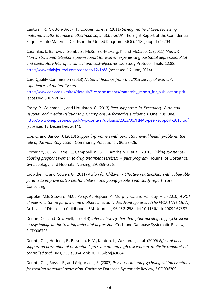Cantwell, R., Clutton-Brock, T., Cooper, G., et al (2011) *Saving mothers' lives: reviewing maternal deaths to make motherhood safer: 2006-2008.* The Eight Report of the Confidential Enquiries into Maternal Deaths in the United Kingdom. BJOG, 118 (suppl 1):1-203.

Caramlau, I., Barlow, J., Sembi, S., McKenzie-McHarg, K. and McCabe, C. (2011) *Mums 4 Mums: structured telephone peer-support for women experiencing postnatal depression. Pilot and exploratory RCT of its clinical and cost-effectiveness.* Study Protocol. Trials, 12:88. <http://www.trialsjournal.com/content/12/1/88> (accessed 16 June, 2014).

Care Quality Commission (2013) *National findings from the 2013 survey of women's experiences of maternity care.*

[http://www.cqc.org.uk/sites/default/files/documents/maternity\\_report\\_for\\_publication.pdf](http://www.cqc.org.uk/sites/default/files/documents/maternity_report_for_publication.pdf) (accessed 6 Jun 2014).

Casey, P., Coleman, L., and Houslston, C. (2013) *Peer supporters in 'Pregnancy, Birth and Beyond', and 'Health Relationship Champions': A formative evaluation.* One Plus One. <http://www.oneplusone.org.uk/wp-content/uploads/2013/05/FINAL-peer-support-2013.pdf> (accessed 17 December, 2014).

Coe, C. and Barlow, J. (2013) *Supporting women with perinatal mental health problems: the role of the voluntary sector.* Community Practitioner, 86: 23–26.

Corrarino, J.C., Williams, C., Campbell, W. S., III, Amrhein, E. et al. (2000) *Linking substanceabusing pregnant women to drug treatment services: A pilot program.* Journal of Obstetrics, Gynaecology, and Neonatal Nursing, 29: 369–376.

Crowther, K. and Cowen, G. (2011) *Action for Children - Effective relationships with vulnerable parents to improve outcomes for children and young people: Final study report*. York Consulting.

Cupples, M.E, Steward, M.C., Percy, A., Hepper, P., Murphy, C., and Halliday, H.L. (2010) *A RCT of peer-mentoring for first-time mothers in socially disadvantage areas (The MOMENTS Study).* Archives of Disease in Childhood - BMJ Journals, 96:252–258. doi:10.1136/adc.2009.167387.

Dennis, C-L. and Dowswell, T. (2013) *Interventions (other than pharmacological, psychosocial or psychological) for treating antenatal depression*. Cochrane Database Systematic Review, 3:CD006795.

Dennis, C-L., Hodnett, E., Reisman, H.M., Kenton, L., Weston, J., et al. (2009) *Effect of peer support on prevention of postnatal depression among high risk women: multisite randomised controlled trial.* BMJ, 338:a3064. doi:10.1136/bmj.a3064.

Dennis, C-L., Ross, L.E., and Grigoriadis, S. (2007) *Psychosocial and psychological interventions for treating antenatal depression.* Cochrane Database Systematic Review, 3:CD006309.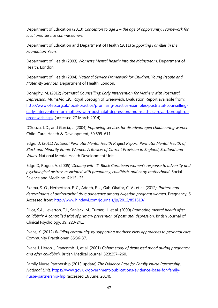Department of Education (2013) *Concepton to age 2 – the age of opportunity*. *Framework for local area service commissioners.*

Department of Education and Department of Health (2011) *Supporting Families in the Foundation Years.* 

Department of Health (2003) *Women's Mental health: Into the Mainstream*. Department of Health, London.

Department of Health (2004) *National Service Framework for Children, Young People and Maternity Services.* Department of Health, London.

Donaghy, M. (2012) *Postnatal Counselling: Early Intervention for Mothers with Postnatal Depression,* MumsAid CiC, Royal Borough of Greenwich. Evaluation Report available from: [http://www.c4eo.org.uk/local-practice/promising-practice-examples/postnatal-counselling](http://www.c4eo.org.uk/local-practice/promising-practice-examples/postnatal-counselling-early-intervention-for-mothers-with-postnatal-depression,-mumsaid-cic,-royal-borough-of-greenwich.aspx)[early-intervention-for-mothers-with-postnatal-depression,-mumsaid-cic,-royal-borough-of](http://www.c4eo.org.uk/local-practice/promising-practice-examples/postnatal-counselling-early-intervention-for-mothers-with-postnatal-depression,-mumsaid-cic,-royal-borough-of-greenwich.aspx)[greenwich.aspx](http://www.c4eo.org.uk/local-practice/promising-practice-examples/postnatal-counselling-early-intervention-for-mothers-with-postnatal-depression,-mumsaid-cic,-royal-borough-of-greenwich.aspx) (accessed 27 March 2014).

D'Souza, L.D., and Garcia, J. (2004) *Improving services for disadvantaged childbearing women*. Child: Care, Health & Development, 30:599–611.

Edge, D. (2011) *National Perinatal Mental Health Project Report. Perinatal Mental Health of Black and Minority Ethnic Women: A Review of Current Provision in England, Scotland and Wales.* National Mental Health Development Unit.

Edge D, Rogers A. (2005) '*Dealing with it': Black Caribbean women's response to adversity and psychological distress associated with pregnancy, childbirth, and early motherhood.* Social Science and Medicine, 61:15- 25.

Ekama, S. O., Herbertson, E. C., Addeh, E. J., Gab-Okafor, C. V., et al. (2012*). Pattern and determinants of antiretroviral drug adherence among Nigerian pregnant women*. Pregnancy, 6. Accessed from:<http://www.hindawi.com/journals/jp/2012/851810/>

Elliot, S.A., Leverton, T.J., Sanjack, M., Turner, H. et al. (2000) *Promoting mental health after childbirth: A controlled trial of primary prevention of postnatal depression*. British Journal of Clinical Psychology, 39: 223-241.

Evans, K. (2012) *Building community by supporting mothers: New approaches to perinatal care.* Community Practitioner, 85:36-37.

Evans J, Heron J, Francomb H, et al. (2001) *Cohort study of depressed mood during pregnancy and after childbirth*. British Medical Journal, 323:257–260.

Family Nurse Partnership (2013 update) *The Evidence Base for Family Nurse Partnership. National Unit.* [https://www.gov.uk/government/publications/evidence-base-for-family](https://www.gov.uk/government/publications/evidence-base-for-family-nurse-partnership-fnp)[nurse-partnership-fnp](https://www.gov.uk/government/publications/evidence-base-for-family-nurse-partnership-fnp) (accessed 16 June, 2014).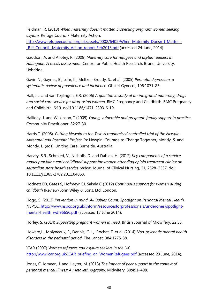Feldman, R. (2013) *When maternity doesn't matter. Dispersing pregnant women seeking asylum.* Refuge Council/ Maternity Action.

[http://www.refugeecouncil.org.uk/assets/0002/6402/When\\_Maternity\\_Doesn\\_t\\_Matter\\_-](http://www.refugeecouncil.org.uk/assets/0002/6402/When_Maternity_Doesn_t_Matter_-_Ref_Council__Maternity_Action_report_Feb2013.pdf) [\\_Ref\\_Council\\_\\_Maternity\\_Action\\_report\\_Feb2013.pdf](http://www.refugeecouncil.org.uk/assets/0002/6402/When_Maternity_Doesn_t_Matter_-_Ref_Council__Maternity_Action_report_Feb2013.pdf) (accessed 24 June, 2014).

Gaudion, A. and Allotey, P. (2008) *Maternity care for refugees and asylum seekers in Hillingdon. A needs assessment.* Centre for Public Health Research, Brunel University. Uxbridge.

Gavin N., Gaynes, B., Lohr, K., Meltzer-Broady, S., et al. (2005) *Perinatal depression: a systematic review of prevalence and incidence.* Obstet Gynecol, 106:1071-83.

Hall, J.L. and van Teijlingen, E.R. (2006) *A qualitative study of an integrated maternity, drugs and social care service for drug-using women.* BMC Pregnancy and Childbirth. BMC Pregnancy and Childbirth, 6:19. doi:10.1186/1471-2393-6-19.

Halliday, J. and Wilkinson, T (2009) *Young, vulnerable and pregnant: family support in practice*. Community Practitioner, 82:27-30.

Harris T. (2008). *Putting Newpin to the Test: A randomised controlled trial of the Newpin Antenatal and Postnatal Project.* In: Newpin: Courage to Change Together, Mondy, S. and Mondy, L. (eds). Uniting Care: Burnside, Australia.

Harvey, S.R., Schmied, V., Nicholls, D. and Dahlen, H. (2012) *Key components of a service model providing early childhood support for women attending opioid treatment clinics: an Australian state health service review*. Journal of Clinical Nursing, 21, 2528–2537, doi: 10.1111/j.1365-2702.2011.04063.

Hodnett ED, Gates S, Hofmeyr GJ, Sakala C (2012) *Continuous support for women during childbirth* (Review) John Wiley & Sons, Ltd: London.

Hogg, S. (2013) *Prevention in mind. All Babies Count: Spotlight on Perinatal Mental Health.* NSPCC. [http://www.nspcc.org.uk/Inform/resourcesforprofessionals/underones/spotlight](http://www.nspcc.org.uk/Inform/resourcesforprofessionals/underones/spotlight-mental-health_wdf96656.pdf)[mental-health\\_wdf96656.pdf](http://www.nspcc.org.uk/Inform/resourcesforprofessionals/underones/spotlight-mental-health_wdf96656.pdf) (accessed 17 June 2014).

Horley, S. (2014) *Supporting pregnant women in need.* British Journal of Midwifery, 22:55.

Howard,L., Molyneaux, E., Dennis, C-L., Rochat, T. et al. (2014) *Non-psychotic mental health disorders in the perinatal period*. The Lancet, 384:1775-88.

ICAR (2007) *Women refugees and asylum seekers in the UK*. [http://www.icar.org.uk/ICAR\\_briefing\\_on\\_WomenRefugees.pdf](http://www.icar.org.uk/ICAR_briefing_on_WomenRefugees.pdf) (accessed 23 June, 2014).

Jones, C. Jomeen, J. and Hayter, M. (2013) *The impact of peer support in the context of perinatal mental illness: A meta-ethnography*. Midwifery, 30:491–498.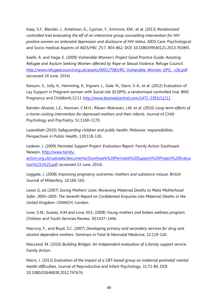Kaay, S.F., Blander, J., Antelman, G., Cyprian, F., Emmons, KM., et al. (2013) *Randomized controlled trial evaluating the eff of an interactive group counselling intervention for HIV positive women on antenatal depression and disclosure of HIV status.* AIDS Care: Psychological and Socio-medical Aspects of AIDS/HIV, 25:7, 854-862, DOI: 10.1080/09540121.2013.763891

Keefe, A. and Hage, E. (2009) *Vulnerable Women's Project Good Practice Guide: Assisting Refugee and Asylum Seeking Women affected by Rape or Sexual Violence*. Refuge Council. [http://www.refugeecouncil.org.uk/assets/0001/7083/RC\\_Vulnerable\\_Women\\_GPG\\_\\_v2b.pdf](http://www.refugeecouncil.org.uk/assets/0001/7083/RC_Vulnerable_Women_GPG__v2b.pdf) (accessed 24 June, 2014).

Kenyon, S., Jolly, K., Hemming, K., Ingram, L., Gale, N., Dann, S-A., et al. (2012) Evaluation of Lay Support in Pregnant women with Social risk (ELSIPS): a randomised controlled trial. BMC Pregnancy and Childbirth,12:11 <http://www.biomedcentral.com/1471-2393/12/11>

Kersten-Alvarez, L.E., Hosman, C.M.H., Riksen-Walraven, J.M. et al. (2010) *Long-term effects of a home-visiting intervention for depressed mothers and their infants.* Journal of Child Psychology and Psychiatry, 51:1160–1170.

Lazenblatt (2010) *Safeguarding children and public health: Midwives' responsibilities*. Perspectives in Public Health, 130:118-126.

Lederer, J. (2009) *Perinatal Support Project: Evaluation Report.* Family Action Southwark Newpin. [http://www.family](http://www.family-action.org.uk/uploads/documents/Southwark%20Perinatal%20Support%20Project%20Evaluation%231%23.pdf)[action.org.uk/uploads/documents/Southwark%20Perinatal%20Support%20Project%20Evalua](http://www.family-action.org.uk/uploads/documents/Southwark%20Perinatal%20Support%20Project%20Evaluation%231%23.pdf) [tion%231%23.pdf](http://www.family-action.org.uk/uploads/documents/Southwark%20Perinatal%20Support%20Project%20Evaluation%231%23.pdf) (accessed 13 June, 2014).

Leggate, J. (2008) *Improving pregnancy outcomes: mothers and substance misuse*. British Journal of Midwifery, 16:160-165.

Lewis G, ed (2007) *Saving Mothers' Lives: Reviewing Maternal Deaths to Make Motherhood Safer, 2003–2005. The Seventh Report on Confidential Enquiries into Maternal Deaths in the United Kingdom.* CEMACH, London.

Love, S.M., Suarez, A.M and Love, M.E. (2008) *Young mothers and babies wellness program*. Children and Youth Services Review, 30:1437–1446.

Macrory, F., and Boyd, S.C. (2007) *Developing primary and secondary services for drug and alcohol dependent mothers.* Seminars in Fetal & Neonatal Medicine, 12:119-126.

MacLeod, M. (2010) *Building Bridges: An Independent evaluation of a family support service.* Family Action.

Marrs, J. (2013) *Evaluation of the impact of a CBT-based group on maternal postnatal mental health difficulties*, Journal of Reproductive and Infant Psychology, 31:72-80, DOI: 10.1080/02646838.2012.747676.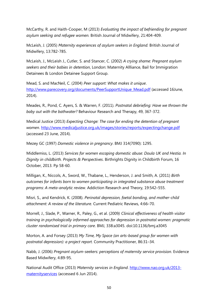McCarthy, R. and Haith-Cooper, M (2013) *Evaluating the impact of befriending for pregnant asylum seeking and refugee women.* British Journal of Midwifery, 21:404-409.

McLeish, J. (2005) *Maternity experiences of asylum seekers in England.* British Journal of Midwifery, 13:782-785.

McLeish, J., McLeish J., Cutler, S. and Stancer, C. (2002) *A crying shame: Pregnant asylum seekers and their babies in detention*, London: Maternity Allliance, Bail for Immigration Detainees & London Detainee Support Group.

Mead, S. and MacNeil, C. (2004) *Peer support: What makes it unique*. [http://www.parecovery.org/documents/PeerSupportUnique\\_Mead.pdf](http://www.parecovery.org/documents/PeerSupportUnique_Mead.pdf) (accessed 16June, 2014).

Meades, R., Pond, C. Ayers, S. & Warren, F. (2011). *Postnatal debriefing: Have we thrown the baby out with the bathwater?* Behaviour Research and Therapy, 49, 367-372.

Medical Justice (2013) *Expecting Change: The case for ending the detention of pregnant women*.<http://www.medicaljustice.org.uk/images/stories/reports/expectingchange.pdf> (accessed 23 June, 2014).

Mezey GC (1997) *Domestic violence in pregnancy*. BMJ 314(7090): 1295.

Middlemiss, L. (2013) *Services for women escaping domestic abuse: Doula UK and Hestia. In Dignity in childbirth. Projects & Perspectives*. Birthrights Dignity in Childbirth Forum, 16 October, 2013. Pp 58-60.

Milligan, K., Niccols, A., Sword, W., Thabane, L., Henderson, J. and Smith, A. (2011) *Birth outcomes for infants born to women participating in integrated substance abuse treatment programs: A meta-analytic review.* Addiction Research and Theory, 19:542–555.

Misri, S., and Kendrick, K. (2008). *Perinatal depression, foetal bonding, and mother-child attachment: A review of the literature.* Current Pediatric Reviews, 4:66–70.

Morrell, J., Slade, P., Warner, R., Paley, G., et al. (2009*) Clinical effectiveness of health visitor training in psychologically informed approaches for depression in postnatal women: pragmatic cluster randomised trial in primary care*. BMJ, 338:a3045. doi:10.1136/bmj.a3045

Morton, A. and Forsey (2013) *My Time, My Space (an arts-based group for women with postnatal depression): a project report.* Community Practitioner, 86:31–34.

Nabb, J. (2006) *Pregnant asylum-seekers: perceptions of maternity service provision.* Evidence Based Midwifery, 4:89-95.

National Audit Office (2013) *Maternity services in England*. [http://www.nao.org.uk/2013](http://www.nao.org.uk/2013-maternityservices) [maternityservices](http://www.nao.org.uk/2013-maternityservices) (accessed 6 Jun 2014).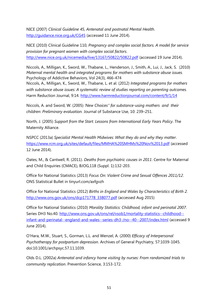NICE (2007) *Clinical Guideline 45, Antenatal and postnatal Mental Health*. <http://guidance.nice.org.uk/CG45> (accessed 11 June 2014).

NICE (2010) Clinical Guideline 110, *Pregnancy and complex social factors. A model for service provision for pregnant women with complex social factors*. <http://www.nice.org.uk/nicemedia/live/13167/50822/50822.pdf> (accessed 19 June 2014).

Niccols, A., Milligan, K., Sword, W., Thabane, L., Henderson, J., Smith, A., Lui, J., Jack, S. (2010) *Maternal mental health and integrated programs for mothers with substance abuse issues.* Psychology of Addictive Behaviors, Vol 24(3), 466-474

Niccols, A., Milligan, K., Sword, W., Thabane, L. et al. (2012) *Integrated programs for mothers with substance abuse issues: A systematic review of studies reporting on parenting outcomes.* Harm Reduction Journal, 9:14.<http://www.harmreductionjournal.com/content/9/1/14>

Niccols, A. and Sword, W. (2005) *'New Choices'' for substance-using mothers and their children: Preliminary evaluation.* Journal of Substance Use, 10: 239–251.

North, J. (2005) *Support from the Start. Lessons from International Early Years Policy*. The Maternity Alliance.

NSPCC (2013a) *Specialist Mental Health Midwives: What they do and why they matter*. <https://www.rcm.org.uk/sites/default/files/MMHA%20SMHMs%20Nov%2013.pdf> (accessed 12 June 2014).

Oates, M., & Cantwell, R. (2011). *Deaths from psychiatric causes in 2011*. Centre for Maternal and Child Enquiries (CMACE), BJOG,118 (Suppl. 1):132-203.

Office for National Statistics (2013) *Focus On: Violent Crime and Sexual Offences 2011/12*. ONS Statistical Bullet in tinyurl.com/axfgvzh

Office for National Statistics (2012) *Births in England and Wales by Characteristics of Birth 2.* [http://www.ons.gov.uk/ons/dcp171778\\_338077.pdf](http://www.ons.gov.uk/ons/dcp171778_338077.pdf) (accessed Aug 2015)

Office for National Statistics (2010) *Morality Statistics: Childhood, infant and perinatal 2007*. Series DH3 No.40. [http://www.ons.gov.uk/ons/rel/vsob1/mortality-statistics--childhood-](http://www.ons.gov.uk/ons/rel/vsob1/mortality-statistics--childhood--infant-and-perinatal--england-and-wales--series-dh3-/no--40--2007/index.html) [infant-and-perinatal--england-and-wales--series-dh3-/no--40--2007/index.html](http://www.ons.gov.uk/ons/rel/vsob1/mortality-statistics--childhood--infant-and-perinatal--england-and-wales--series-dh3-/no--40--2007/index.html) (accessed 9 June 2014).

O'Hara, M.W., Stuart, S., Gorman, L.L. and Wenzel, A. (2000) *Efficacy of Interpersonal Psychotherapy for postpartum depression*. Archives of General Psychiatry, 57:1039-1045. doi:10.1001/archpsyc.57.11.1039.

Olds D.L. (2002a) *Antenatal and infancy home visiting by nurses: From randomized trials to community replication*. Prevention Science, 3:153-172.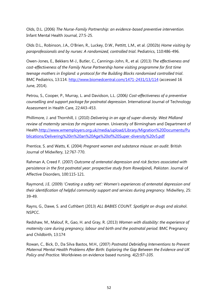Olds, D.L. (2006) *The Nurse-Family Partnership: an evidence-based preventive intervention.* Infant Mental Health Journal, 27:5-25.

Olds D.L., Robinson, J.A., O'Brien, R., Luckey, D.W., Pettitt, L.M., et al. (2002b) *Home visiting by paraprofessionals and by nurses: A randomized, controlled trial*. Pediatrics, 110:486-496.

Owen-Jones, E., Bekkers M-J., Butler, C., Cannings-John, R., et al. (2013) *The effectiveness and cost-effectiveness of the Family Nurse Partnership home visiting programme for first time teenage mothers in England: a protocol for the Building Blocks randomised controlled trial*. BMC Pediatrics, 13:114. <http://www.biomedcentral.com/1471-2431/13/114> (accessed 16 June, 2014).

Petrou, S., Cooper, P., Murray, L. and Davidson, L.L. (2006*) Cost-effectiveness of a preventive counselling and support package for postnatal depression*. International Journal of Technology Assessment in Health Care, 22:443–453.

Phillimore, J. and Thornhill, J. (2010) *Delivering in an age of super-diversity. West Midland review of maternity services for migrant women*. University of Birmingham and Department of Health[.http://www.wmemployers.org.uk/media/upload/Library/Migration%20Documents/Pu](http://www.wmemployers.org.uk/media/upload/Library/Migration%20Documents/Publications/Delivering%20in%20an%20Age%20of%20Super-diversity%20v5.pdf) [blications/Delivering%20in%20an%20Age%20of%20Super-diversity%20v5.pdf](http://www.wmemployers.org.uk/media/upload/Library/Migration%20Documents/Publications/Delivering%20in%20an%20Age%20of%20Super-diversity%20v5.pdf)

Prentice, S. and Watts, K. (2004) *Pregnant women and substance misuse: an audit*. British Journal of Midwifery, 12:767-770.

Rahman A, Creed F. (2007) *Outcome of antenatal depression and risk factors associated with persistence in the first postnatal year: prospective study from Rawalpindi, Pakistan*. Journal of Affective Disorders, 100:115-121.

Raymond, J.E. (2009) '*Creating a safety net': Women's experiences of antenatal depression and their identification of helpful community support and services during pregnancy.* Midwifery, 25: 39-49.

Rayns, G., Dawe, S. and Cuthbert (2013) *ALL BABIES COUNT. Spotlight on drugs and alcoho*l. NSPCC.

Redshaw, M., Malouf, R., Gao, H. and Gray, R. (2013) *Women with disability: the experience of maternity care during pregnancy, labour and birth and the postnatal period*. BMC Pregnancy and Childbirth, 13:174

Rowan, C., Bick, D., Da Silva Bastos, M.H., (2007) *Postnatal Debriefing Interventions to Prevent Maternal Mental Health Problems After Birth: Exploring the Gap Between the Evidence and UK Policy and Practice.* Worldviews on evidence based nursing. *4(2):97–105.*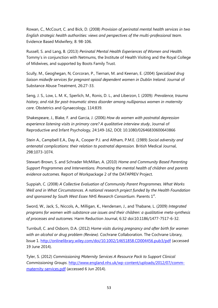Rowan, C., McCourt, C. and Bick, D. (2008) *Provision of perinatal mental health services in two English strategic health authorities: views and perspectives of the multi-professional team.* Evidence Based Midwifery, 8: 98-106.

Russell, S. and Lang, B. (2013) *Perinatal Mental Health Experiences of Women and Health.* Tommy's in conjunction with Netmums, the Institute of Health Visiting and the Royal College of Midwives, and supported by Boots Family Trust.

Scully, M., Geoghegan, N, Corcoran, P., Tiernan, M. and Keenan, E. (2004) *Specialized drug liaison midwife services for pregnant opioid dependent women in Dublin Ireland*. Journal of Substance Abuse Treatment, 26:27-33.

Seng, J. S., Low, L. M. K., Sperlich, M., Ronis, D. L., and Liberzon, I. (2009*). Prevalence, trauma history, and risk for post-traumatic stress disorder among nulliparous women in maternity care*. Obstetrics and Gynaecology, 114:839.

Shakespeare, J., Blake, F. and Garcia, J. (2006) *How do women with postnatal depression experience listening visits in primary care? A qualitative interview study*, Journal of Reproductive and Infant Psychology, 24:149-162, DOI: 10.1080/02646830600643866

Stein A., Campbell E.A., Day A., Cooper P.J. and Altham, P.M.E. (1989) *Social adversity and antenatal complications: their relation to postnatal depression.* British Medical Journal, 298:1073-1074.

Stewart-Brown, S. and Schrader McMillan, A. (2010) *Home and Community Based Parenting Support Programmes and Interventions. Promoting the mental health of children and parents evidence outcomes.* Report of Workpackage 2 of the DATAPREV Project.

Suppiah, C. (2008) *A Collective Evaluation of Community Parent Programmes. What Works Well and in What Circumstances. A national research project funded by the Health Foundation*  and sponsored by South West Essex NHS Research Consortium. Parents 1<sup>st</sup>.

Sword, W., Jack, S., Niccols, A., Milligan, K., Hendersen, J., and Thabane, L. (2009) *Integrated programs for women with substance use issues and their children: a qualitative meta-synthesis of processes and outcomes.* Harm Reduction Journal, 6:32 doi:10.1186/1477-7517-6-32.

Turnbull, C. and Osborn, D.A. (2012) *Home visits during pregnancy and after birth for women with an alcohol or drug problem (Review).* Cochrane Collaboration. The Cochrane Library, Issue 1.<http://onlinelibrary.wiley.com/doi/10.1002/14651858.CD004456.pub3/pdf> (accessed 19 June 2014).

Tyler, S. (2012) *Commissioning Maternity Services A Resource Pack to Support Clinical Commissioning Groups*. [http://www.england.nhs.uk/wp-content/uploads/2012/07/comm](http://www.england.nhs.uk/wp-content/uploads/2012/07/comm-maternity-services.pdf)[maternity-services.pdf](http://www.england.nhs.uk/wp-content/uploads/2012/07/comm-maternity-services.pdf) (accessed 6 Jun 2014).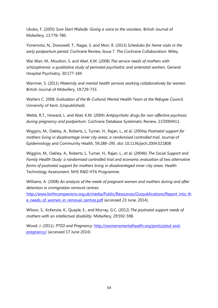Ukoko, F. (2005) *Sure Start Midwife: Giving a voice to the voiceless*. British Journal of Midwifery, 13:776-780.

Yonemoto, N., Dowswell, T., Nagai, S. and Mori, R. (2013) *Schedules for home visits in the early postpartum period.* Cochrane Review, Issue 7. The Cochrane Collaboration: Wiley.

Wai Wan, M., Moulton, S. and Abel, K.M. (2008) *The service needs of mothers with schizophrenia: a qualitative study of perinatal psychiatric and antenatal workers*. General Hospital Psychiatry, 30:177-184.

Warriner, S. (2011) *Maternity and mental health services working collaboratively for women.* British Journal of Midwifery, 19:729-733.

Watters C. 2008. *Evaluation of the Bi-Cultural Mental Health Team at the Refugee Council*. University of Kent. (Unpublished).

Webb, R.T., Howard, L. and Abel, K.M. (2004) *Antipsychotic drugs for non-affective psychosis during pregnancy and postpartum.* Cochrane Database Systematic Review, 2:CD004411.

Wiggins, M., Oakley, A., Roberts, I., Turner, H., Rajan, L., et al. (2004a) *Postnatal support for mothers living in disadvantage inner city areas: a randomised controlled trial*. Journal of Epidemiology and Community Health, 59:288–295. doi: 10.1136/jech.2004.021808

Wiggins, M., Oakley, A., Roberts, I., Turner, H., Rajan, L., et al. (2004b) *The Social Support and Family Health Study: a randomised controlled trial and economic evaluation of two alternative forms of postnatal support for mothers living in disadvantaged inner-city areas.* Health Technology Assessment. NHS R&D HTA Programme.

Williams, A. (2008) *An analysis of the needs of pregnant women and mothers during and after detention in immigration removal centres*.

[http://www.birthcompanions.org.uk/media/Public/Resources/Ourpublications/Report\\_into\\_th](http://www.birthcompanions.org.uk/media/Public/Resources/Ourpublications/Report_into_the_needs_of_women_in_removal_centres.pdf) [e\\_needs\\_of\\_women\\_in\\_removal\\_centres.pdf](http://www.birthcompanions.org.uk/media/Public/Resources/Ourpublications/Report_into_the_needs_of_women_in_removal_centres.pdf) (accessed 23 June, 2014).

Wilson, S., KcKenzie, K., Quayle, E., and Murray, G.C. (2012) *The postnatal support needs of mothers with an intellectual disability.* Midwifery, 29:592-598.

Wood, J. (2011). *PTSD and Pregnancy*. [http://womensmentalhealth.org/posts/ptsd-and](http://womensmentalhealth.org/posts/ptsd-and-pregnancy/)[pregnancy/](http://womensmentalhealth.org/posts/ptsd-and-pregnancy/) (accessed 17 June 2014).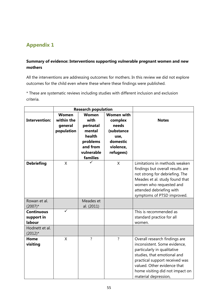## <span id="page-54-0"></span>**Appendix 1**

### **Summary of evidence: Interventions supporting vulnerable pregnant women and new mothers**

All the interventions are addressing outcomes for mothers. In this review we did not explore outcomes for the child even where these where these findings were published.

\* These are systematic reviews including studies with different inclusion and exclusion criteria.

|                                                             | <b>Research population</b>                          |                                                                                                         |                                                                                                   |                                                                                                                                                                                                                                                         |
|-------------------------------------------------------------|-----------------------------------------------------|---------------------------------------------------------------------------------------------------------|---------------------------------------------------------------------------------------------------|---------------------------------------------------------------------------------------------------------------------------------------------------------------------------------------------------------------------------------------------------------|
| <b>Intervention:</b>                                        | <b>Women</b><br>within the<br>general<br>population | <b>Women</b><br>with<br>perinatal<br>mental<br>health<br>problems<br>and from<br>vulnerable<br>families | <b>Women with</b><br>complex<br>needs<br>(substance<br>use,<br>domestic<br>violence,<br>refugees) | <b>Notes</b>                                                                                                                                                                                                                                            |
| <b>Debriefing</b>                                           | X                                                   |                                                                                                         | X                                                                                                 | Limitations in methods weaken<br>findings but overall results are<br>not strong for debriefing. The<br>Meades et al. study found that<br>women who requested and<br>attended debriefing with<br>symptoms of PTSD improved.                              |
| Rowan et al.<br>$(2007)^*$                                  |                                                     | Meades et<br>al. (2011)                                                                                 |                                                                                                   |                                                                                                                                                                                                                                                         |
| <b>Continuous</b><br>support in<br>labour<br>Hodnett et al. | ✓                                                   |                                                                                                         |                                                                                                   | This is recommended as<br>standard practice for all<br>women.                                                                                                                                                                                           |
| $(2012)^*$                                                  |                                                     |                                                                                                         |                                                                                                   |                                                                                                                                                                                                                                                         |
| Home<br>visiting                                            | X                                                   | $\overline{?}$                                                                                          | ?                                                                                                 | Overall research findings are<br>inconsistent. Some evidence,<br>particularly in qualitative<br>studies, that emotional and<br>practical support received was<br>valued. Other evidence that<br>home visiting did not impact on<br>material depression, |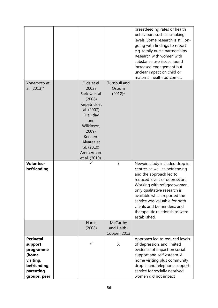|                                                                                                             |                                                                                                                                                                                                 |                                               | breastfeeding rates or health<br>behaviours such as smoking<br>levels. Some research is still on-<br>going with findings to report<br>e.g. family nurse partnerships.<br>Research with women with<br>substance use issues found                                                                                                               |
|-------------------------------------------------------------------------------------------------------------|-------------------------------------------------------------------------------------------------------------------------------------------------------------------------------------------------|-----------------------------------------------|-----------------------------------------------------------------------------------------------------------------------------------------------------------------------------------------------------------------------------------------------------------------------------------------------------------------------------------------------|
|                                                                                                             |                                                                                                                                                                                                 |                                               | increased engagement but<br>unclear impact on child or                                                                                                                                                                                                                                                                                        |
|                                                                                                             |                                                                                                                                                                                                 |                                               | maternal health outcomes.                                                                                                                                                                                                                                                                                                                     |
| Yonemoto et<br>al. (2013)*                                                                                  | Olds et al.<br>2002a<br>Barlow et al.<br>(2006)<br>Kirpatrick et<br>al. (2007)<br>(Halliday<br>and<br>Wilkinson,<br>2009).<br>Kersten-<br>Alvarez et<br>al. (2010)<br>Ammerman<br>et al. (2010) | Turnbull and<br>Osborn<br>$(2012)^*$          |                                                                                                                                                                                                                                                                                                                                               |
| <b>Volunteer</b><br>befriending                                                                             |                                                                                                                                                                                                 | $\overline{\cdot}$                            | Newpin study included drop in<br>centres as well as befriending<br>and the approach led to<br>reduced levels of depression.<br>Working with refugee women,<br>only qualitative research is<br>available which reported the<br>service was valuable for both<br>clients and befrienders, and<br>therapeutic relationships were<br>established. |
|                                                                                                             | <b>Harris</b><br>(2008)                                                                                                                                                                         | <b>McCarthy</b><br>and Haith-<br>Cooper, 2013 |                                                                                                                                                                                                                                                                                                                                               |
| <b>Perinatal</b><br>support<br>programme<br>(home<br>visiting,<br>befriending,<br>parenting<br>groups, peer | ✓                                                                                                                                                                                               | X                                             | Approach led to reduced levels<br>of depression, and limited<br>evidence of impact on social<br>support and self-esteem. A<br>home visiting plus community<br>drop in and telephone support<br>service for socially deprived<br>women did not impact                                                                                          |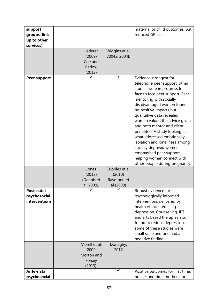| support<br>groups, link                     |                                                         |                                                     | maternal or child outcomes, but<br>reduced GP use.                                                                                                                                                                                                                                                                                                                                                                                                                                                                               |
|---------------------------------------------|---------------------------------------------------------|-----------------------------------------------------|----------------------------------------------------------------------------------------------------------------------------------------------------------------------------------------------------------------------------------------------------------------------------------------------------------------------------------------------------------------------------------------------------------------------------------------------------------------------------------------------------------------------------------|
| up to other                                 |                                                         |                                                     |                                                                                                                                                                                                                                                                                                                                                                                                                                                                                                                                  |
| services)                                   |                                                         |                                                     |                                                                                                                                                                                                                                                                                                                                                                                                                                                                                                                                  |
|                                             | Lederer<br>(2009)<br>Coe and<br><b>Barlow</b><br>(2012) | Wiggins et al,<br>2004a; 2004b                      |                                                                                                                                                                                                                                                                                                                                                                                                                                                                                                                                  |
| <b>Peer support</b>                         |                                                         | ?                                                   | Evidence strongest for<br>telephone peer support, other<br>studies were in progress for<br>face to face peer support. Peer<br>mentoring with socially<br>disadvantaged women found<br>no positive impacts but<br>qualitative data revealed<br>women valued the advice given<br>and both mentor and client<br>benefited. A study looking at<br>what addressed emotionally<br>isolation and loneliness among<br>socially deprived women<br>emphasised peer support<br>helping women connect with<br>other people during pregnancy. |
|                                             | Jones<br>(2013)<br>(Dennis et<br>al. 2009).             | Cupples et al.<br>(2010)<br>Raymond et<br>al (2009) |                                                                                                                                                                                                                                                                                                                                                                                                                                                                                                                                  |
| Post-natal<br>psychosocial<br>interventions | Morell et al.                                           | Donaghy,                                            | Robust evidence for<br>psychologically informed<br>interventions delivered by<br>health visitors reducing<br>depression. Counselling, IPT<br>and arts based therapies also<br>found to reduce depression;<br>some of these studies were<br>small scale and one had a<br>negative finding.                                                                                                                                                                                                                                        |
|                                             | 2009<br>Morton and<br>Forsey<br>(2013).                 | 2012                                                |                                                                                                                                                                                                                                                                                                                                                                                                                                                                                                                                  |
| <b>Ante-natal</b><br>psychosocial           | 7                                                       | ✓                                                   | Positive outcomes for first time,<br>not second time mothers for                                                                                                                                                                                                                                                                                                                                                                                                                                                                 |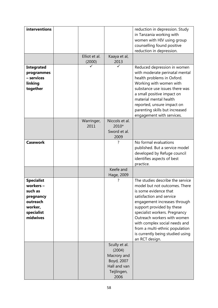| interventions     |               |                            | reduction in depression. Study                       |
|-------------------|---------------|----------------------------|------------------------------------------------------|
|                   |               |                            | in Tanzania working with                             |
|                   |               |                            | women with HIV using group                           |
|                   |               |                            | counselling found positive                           |
|                   |               |                            | reduction in depression.                             |
|                   | Elliot et al. | Kaaya et al,               |                                                      |
|                   | (2000)        | 2013                       |                                                      |
| <b>Integrated</b> |               | ✓                          | Reduced depression in women                          |
| programmes        |               |                            | with moderate perinatal mental                       |
| - services        |               |                            | health problems in Oxford.                           |
| linking           |               |                            | Working with women with                              |
| together          |               |                            | substance use issues there was                       |
|                   |               |                            | a small positive impact on<br>material mental health |
|                   |               |                            | reported, unsure impact on                           |
|                   |               |                            | parenting skills but increased                       |
|                   |               |                            | engagement with services.                            |
|                   | Warringer,    | Niccols et al.             |                                                      |
|                   | 2011          | 2010*                      |                                                      |
|                   |               | Sword et al.               |                                                      |
|                   |               | 2009                       |                                                      |
| <b>Casework</b>   |               | ?                          | No formal evaluations                                |
|                   |               |                            | published. But a service model                       |
|                   |               |                            | developed by Refuge council                          |
|                   |               |                            | identifies aspects of best                           |
|                   |               |                            | practice.                                            |
|                   |               | Keefe and                  |                                                      |
| <b>Specialist</b> |               | Hage, 2009<br>?            | The studies describe the service                     |
| workers -         |               |                            | model but not outcomes. There                        |
| such as           |               |                            | is some evidence that                                |
| pregnancy         |               |                            | satisfaction and service                             |
| outreach          |               |                            | engagement increases through                         |
| worker,           |               |                            | support provided by these                            |
| specialist        |               |                            | specialist workers. Pregnancy                        |
| midwives          |               |                            | Outreach workers with women                          |
|                   |               |                            | with complex social needs and                        |
|                   |               |                            | from a multi-ethnic population                       |
|                   |               |                            | is currently being studied using                     |
|                   |               |                            | an RCT design.                                       |
|                   |               | Scully et al.              |                                                      |
|                   |               | (2004)                     |                                                      |
|                   |               | Macrory and                |                                                      |
|                   |               | Boyd, 2007<br>Hall and van |                                                      |
|                   |               | Teijlingen,                |                                                      |
|                   |               | 2006                       |                                                      |